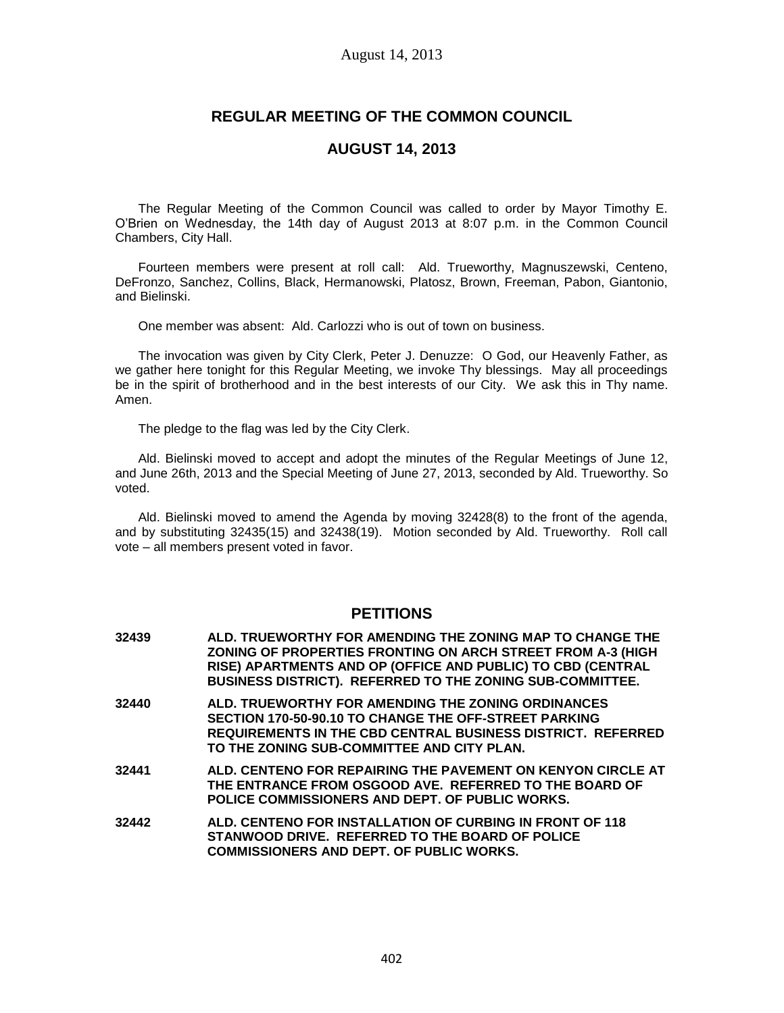# **REGULAR MEETING OF THE COMMON COUNCIL**

# **AUGUST 14, 2013**

The Regular Meeting of the Common Council was called to order by Mayor Timothy E. O'Brien on Wednesday, the 14th day of August 2013 at 8:07 p.m. in the Common Council Chambers, City Hall.

Fourteen members were present at roll call: Ald. Trueworthy, Magnuszewski, Centeno, DeFronzo, Sanchez, Collins, Black, Hermanowski, Platosz, Brown, Freeman, Pabon, Giantonio, and Bielinski.

One member was absent: Ald. Carlozzi who is out of town on business.

The invocation was given by City Clerk, Peter J. Denuzze: O God, our Heavenly Father, as we gather here tonight for this Regular Meeting, we invoke Thy blessings. May all proceedings be in the spirit of brotherhood and in the best interests of our City. We ask this in Thy name. Amen.

The pledge to the flag was led by the City Clerk.

Ald. Bielinski moved to accept and adopt the minutes of the Regular Meetings of June 12, and June 26th, 2013 and the Special Meeting of June 27, 2013, seconded by Ald. Trueworthy. So voted.

Ald. Bielinski moved to amend the Agenda by moving 32428(8) to the front of the agenda, and by substituting 32435(15) and 32438(19). Motion seconded by Ald. Trueworthy. Roll call vote – all members present voted in favor.

# **PETITIONS**

**32439 ALD. TRUEWORTHY FOR AMENDING THE ZONING MAP TO CHANGE THE ZONING OF PROPERTIES FRONTING ON ARCH STREET FROM A-3 (HIGH RISE) APARTMENTS AND OP (OFFICE AND PUBLIC) TO CBD (CENTRAL BUSINESS DISTRICT). REFERRED TO THE ZONING SUB-COMMITTEE. 32440 ALD. TRUEWORTHY FOR AMENDING THE ZONING ORDINANCES SECTION 170-50-90.10 TO CHANGE THE OFF-STREET PARKING REQUIREMENTS IN THE CBD CENTRAL BUSINESS DISTRICT. REFERRED TO THE ZONING SUB-COMMITTEE AND CITY PLAN. 32441 ALD. CENTENO FOR REPAIRING THE PAVEMENT ON KENYON CIRCLE AT THE ENTRANCE FROM OSGOOD AVE. REFERRED TO THE BOARD OF POLICE COMMISSIONERS AND DEPT. OF PUBLIC WORKS. 32442 ALD. CENTENO FOR INSTALLATION OF CURBING IN FRONT OF 118 STANWOOD DRIVE. REFERRED TO THE BOARD OF POLICE COMMISSIONERS AND DEPT. OF PUBLIC WORKS.**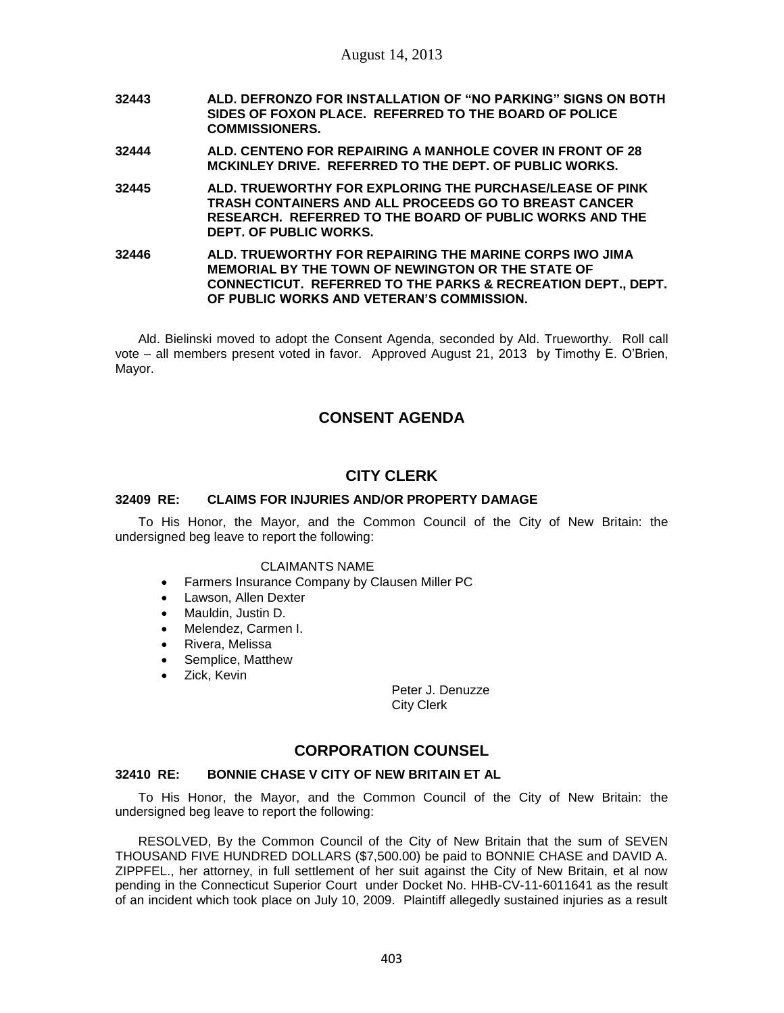- **32443 ALD. DEFRONZO FOR INSTALLATION OF "NO PARKING" SIGNS ON BOTH SIDES OF FOXON PLACE. REFERRED TO THE BOARD OF POLICE COMMISSIONERS.**
- **32444 ALD. CENTENO FOR REPAIRING A MANHOLE COVER IN FRONT OF 28 MCKINLEY DRIVE. REFERRED TO THE DEPT. OF PUBLIC WORKS.**
- **32445 ALD. TRUEWORTHY FOR EXPLORING THE PURCHASE/LEASE OF PINK TRASH CONTAINERS AND ALL PROCEEDS GO TO BREAST CANCER RESEARCH. REFERRED TO THE BOARD OF PUBLIC WORKS AND THE DEPT. OF PUBLIC WORKS.**
- **32446 ALD. TRUEWORTHY FOR REPAIRING THE MARINE CORPS IWO JIMA MEMORIAL BY THE TOWN OF NEWINGTON OR THE STATE OF CONNECTICUT. REFERRED TO THE PARKS & RECREATION DEPT., DEPT. OF PUBLIC WORKS AND VETERAN'S COMMISSION.**

Ald. Bielinski moved to adopt the Consent Agenda, seconded by Ald. Trueworthy. Roll call vote – all members present voted in favor. Approved August 21, 2013 by Timothy E. O'Brien, Mayor.

# **CONSENT AGENDA**

# **CITY CLERK**

# **32409 RE: CLAIMS FOR INJURIES AND/OR PROPERTY DAMAGE**

To His Honor, the Mayor, and the Common Council of the City of New Britain: the undersigned beg leave to report the following:

### CLAIMANTS NAME

- Farmers Insurance Company by Clausen Miller PC
- Lawson, Allen Dexter
- Mauldin, Justin D.
- Melendez, Carmen I.
- Rivera, Melissa
- Semplice, Matthew
- Zick, Kevin

Peter J. Denuzze City Clerk

# **CORPORATION COUNSEL**

# **32410 RE: BONNIE CHASE V CITY OF NEW BRITAIN ET AL**

To His Honor, the Mayor, and the Common Council of the City of New Britain: the undersigned beg leave to report the following:

RESOLVED, By the Common Council of the City of New Britain that the sum of SEVEN THOUSAND FIVE HUNDRED DOLLARS (\$7,500.00) be paid to BONNIE CHASE and DAVID A. ZIPPFEL., her attorney, in full settlement of her suit against the City of New Britain, et al now pending in the Connecticut Superior Court under Docket No. HHB-CV-11-6011641 as the result of an incident which took place on July 10, 2009. Plaintiff allegedly sustained injuries as a result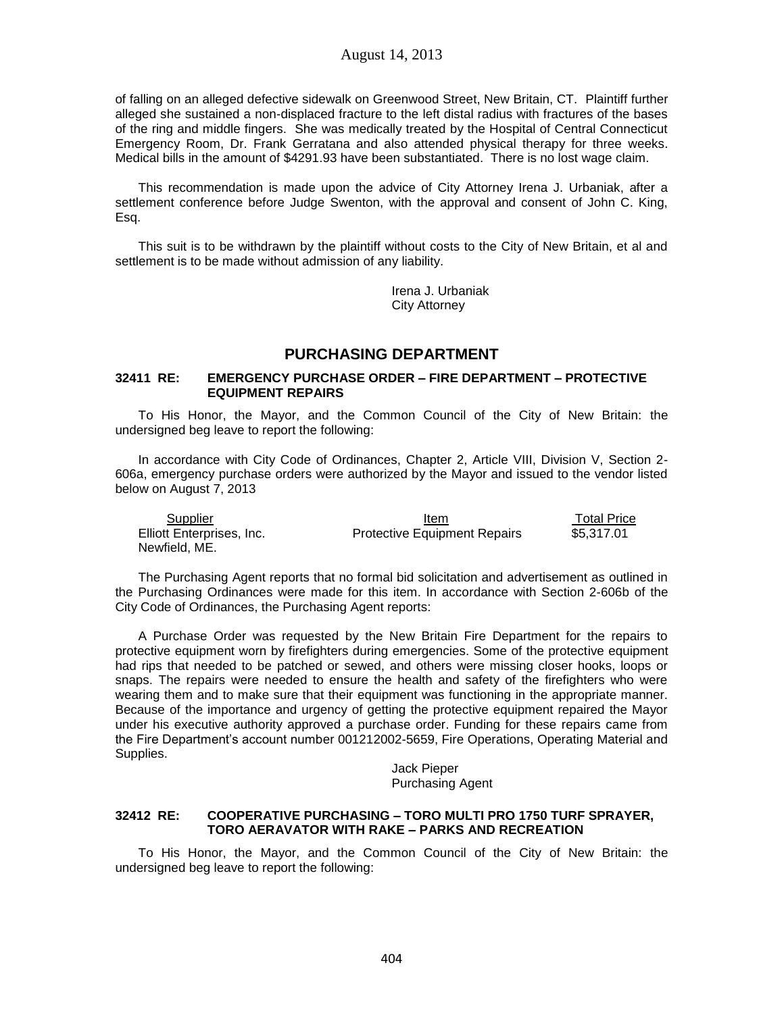of falling on an alleged defective sidewalk on Greenwood Street, New Britain, CT. Plaintiff further alleged she sustained a non-displaced fracture to the left distal radius with fractures of the bases of the ring and middle fingers. She was medically treated by the Hospital of Central Connecticut Emergency Room, Dr. Frank Gerratana and also attended physical therapy for three weeks. Medical bills in the amount of \$4291.93 have been substantiated. There is no lost wage claim.

This recommendation is made upon the advice of City Attorney Irena J. Urbaniak, after a settlement conference before Judge Swenton, with the approval and consent of John C. King, Esq.

This suit is to be withdrawn by the plaintiff without costs to the City of New Britain, et al and settlement is to be made without admission of any liability.

> Irena J. Urbaniak City Attorney

# **PURCHASING DEPARTMENT**

### **32411 RE: EMERGENCY PURCHASE ORDER – FIRE DEPARTMENT – PROTECTIVE EQUIPMENT REPAIRS**

To His Honor, the Mayor, and the Common Council of the City of New Britain: the undersigned beg leave to report the following:

In accordance with City Code of Ordinances, Chapter 2, Article VIII, Division V, Section 2- 606a, emergency purchase orders were authorized by the Mayor and issued to the vendor listed below on August 7, 2013

| Supplier                  | Item                                | <b>Total Price</b> |
|---------------------------|-------------------------------------|--------------------|
| Elliott Enterprises, Inc. | <b>Protective Equipment Repairs</b> | \$5.317.01         |
| Newfield, ME.             |                                     |                    |

The Purchasing Agent reports that no formal bid solicitation and advertisement as outlined in the Purchasing Ordinances were made for this item. In accordance with Section 2-606b of the City Code of Ordinances, the Purchasing Agent reports:

A Purchase Order was requested by the New Britain Fire Department for the repairs to protective equipment worn by firefighters during emergencies. Some of the protective equipment had rips that needed to be patched or sewed, and others were missing closer hooks, loops or snaps. The repairs were needed to ensure the health and safety of the firefighters who were wearing them and to make sure that their equipment was functioning in the appropriate manner. Because of the importance and urgency of getting the protective equipment repaired the Mayor under his executive authority approved a purchase order. Funding for these repairs came from the Fire Department's account number 001212002-5659, Fire Operations, Operating Material and Supplies.

> Jack Pieper Purchasing Agent

## **32412 RE: COOPERATIVE PURCHASING – TORO MULTI PRO 1750 TURF SPRAYER, TORO AERAVATOR WITH RAKE – PARKS AND RECREATION**

To His Honor, the Mayor, and the Common Council of the City of New Britain: the undersigned beg leave to report the following: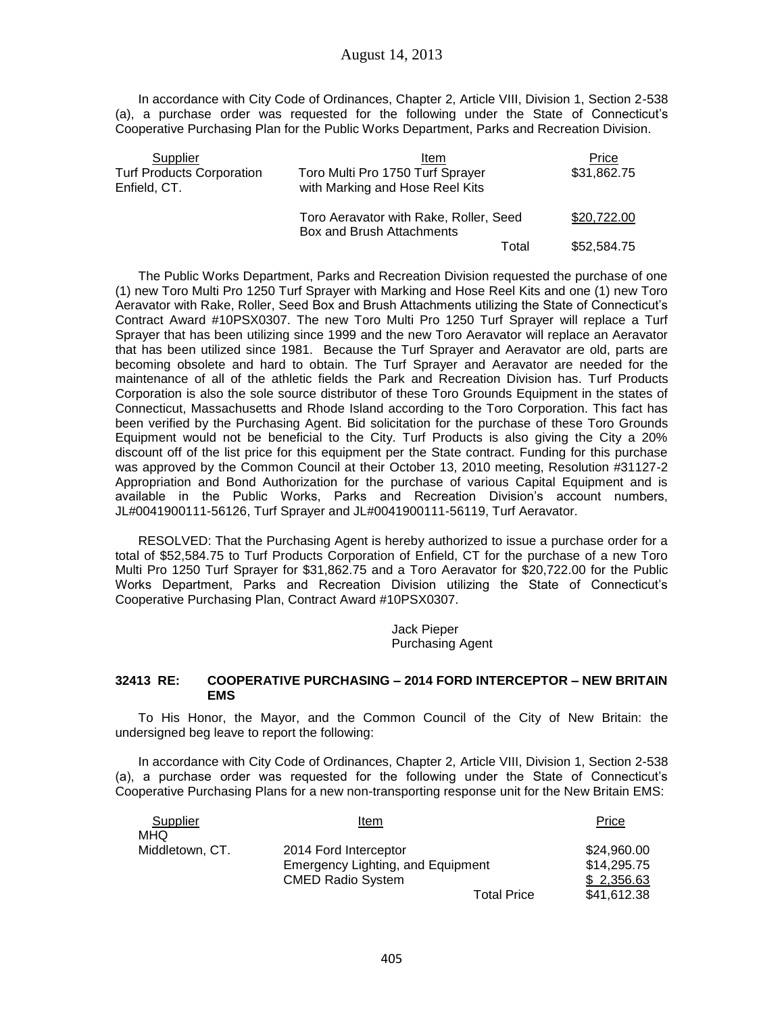In accordance with City Code of Ordinances, Chapter 2, Article VIII, Division 1, Section 2-538 (a), a purchase order was requested for the following under the State of Connecticut's Cooperative Purchasing Plan for the Public Works Department, Parks and Recreation Division.

| Supplier                                         | Item                                                                | Price       |
|--------------------------------------------------|---------------------------------------------------------------------|-------------|
| <b>Turf Products Corporation</b><br>Enfield, CT. | Toro Multi Pro 1750 Turf Sprayer<br>with Marking and Hose Reel Kits | \$31,862.75 |
|                                                  | Toro Aeravator with Rake, Roller, Seed<br>Box and Brush Attachments | \$20,722.00 |
|                                                  | Total                                                               | \$52,584.75 |

The Public Works Department, Parks and Recreation Division requested the purchase of one (1) new Toro Multi Pro 1250 Turf Sprayer with Marking and Hose Reel Kits and one (1) new Toro Aeravator with Rake, Roller, Seed Box and Brush Attachments utilizing the State of Connecticut's Contract Award #10PSX0307. The new Toro Multi Pro 1250 Turf Sprayer will replace a Turf Sprayer that has been utilizing since 1999 and the new Toro Aeravator will replace an Aeravator that has been utilized since 1981. Because the Turf Sprayer and Aeravator are old, parts are becoming obsolete and hard to obtain. The Turf Sprayer and Aeravator are needed for the maintenance of all of the athletic fields the Park and Recreation Division has. Turf Products Corporation is also the sole source distributor of these Toro Grounds Equipment in the states of Connecticut, Massachusetts and Rhode Island according to the Toro Corporation. This fact has been verified by the Purchasing Agent. Bid solicitation for the purchase of these Toro Grounds Equipment would not be beneficial to the City. Turf Products is also giving the City a 20% discount off of the list price for this equipment per the State contract. Funding for this purchase was approved by the Common Council at their October 13, 2010 meeting, Resolution #31127-2 Appropriation and Bond Authorization for the purchase of various Capital Equipment and is available in the Public Works, Parks and Recreation Division's account numbers, JL#0041900111-56126, Turf Sprayer and JL#0041900111-56119, Turf Aeravator.

RESOLVED: That the Purchasing Agent is hereby authorized to issue a purchase order for a total of \$52,584.75 to Turf Products Corporation of Enfield, CT for the purchase of a new Toro Multi Pro 1250 Turf Sprayer for \$31,862.75 and a Toro Aeravator for \$20,722.00 for the Public Works Department, Parks and Recreation Division utilizing the State of Connecticut's Cooperative Purchasing Plan, Contract Award #10PSX0307.

> Jack Pieper Purchasing Agent

### **32413 RE: COOPERATIVE PURCHASING – 2014 FORD INTERCEPTOR – NEW BRITAIN EMS**

To His Honor, the Mayor, and the Common Council of the City of New Britain: the undersigned beg leave to report the following:

In accordance with City Code of Ordinances, Chapter 2, Article VIII, Division 1, Section 2-538 (a), a purchase order was requested for the following under the State of Connecticut's Cooperative Purchasing Plans for a new non-transporting response unit for the New Britain EMS:

| Supplier        | Item                              | Price       |
|-----------------|-----------------------------------|-------------|
| <b>MHQ</b>      |                                   |             |
| Middletown, CT. | 2014 Ford Interceptor             | \$24,960.00 |
|                 | Emergency Lighting, and Equipment | \$14.295.75 |
|                 | <b>CMED Radio System</b>          | \$2,356.63  |
|                 | <b>Total Price</b>                | \$41,612.38 |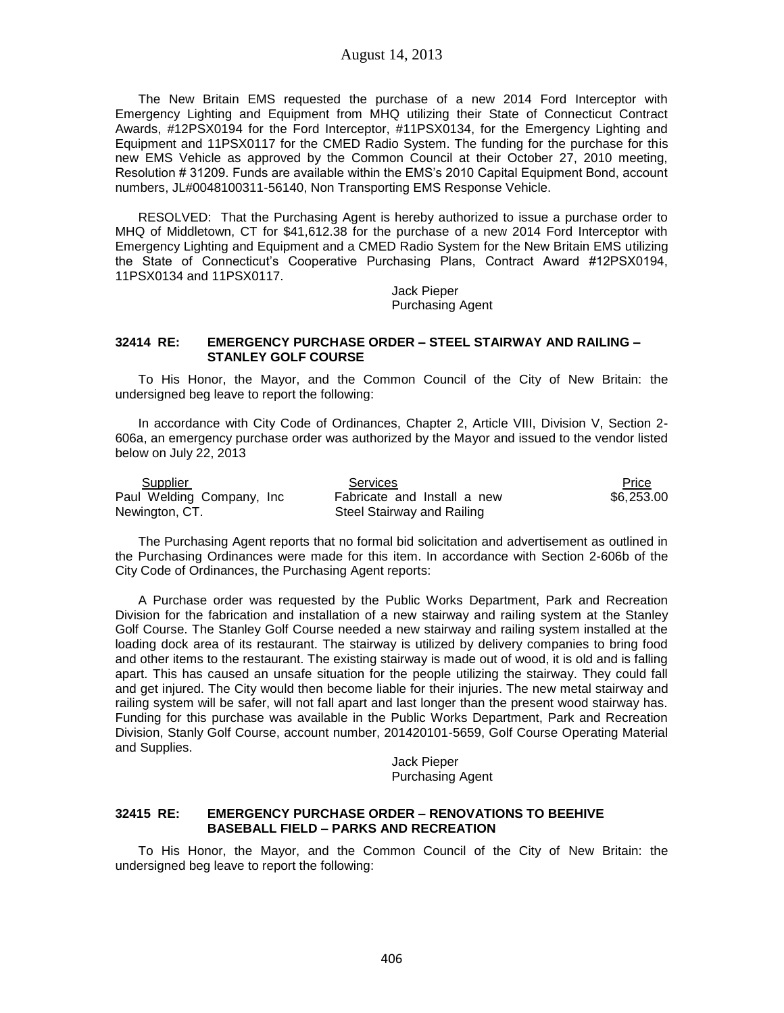The New Britain EMS requested the purchase of a new 2014 Ford Interceptor with Emergency Lighting and Equipment from MHQ utilizing their State of Connecticut Contract Awards, #12PSX0194 for the Ford Interceptor, #11PSX0134, for the Emergency Lighting and Equipment and 11PSX0117 for the CMED Radio System. The funding for the purchase for this new EMS Vehicle as approved by the Common Council at their October 27, 2010 meeting, Resolution # 31209. Funds are available within the EMS's 2010 Capital Equipment Bond, account numbers, JL#0048100311-56140, Non Transporting EMS Response Vehicle.

RESOLVED: That the Purchasing Agent is hereby authorized to issue a purchase order to MHQ of Middletown, CT for \$41,612.38 for the purchase of a new 2014 Ford Interceptor with Emergency Lighting and Equipment and a CMED Radio System for the New Britain EMS utilizing the State of Connecticut's Cooperative Purchasing Plans, Contract Award #12PSX0194, 11PSX0134 and 11PSX0117.

> Jack Pieper Purchasing Agent

### **32414 RE: EMERGENCY PURCHASE ORDER – STEEL STAIRWAY AND RAILING – STANLEY GOLF COURSE**

To His Honor, the Mayor, and the Common Council of the City of New Britain: the undersigned beg leave to report the following:

In accordance with City Code of Ordinances, Chapter 2, Article VIII, Division V, Section 2- 606a, an emergency purchase order was authorized by the Mayor and issued to the vendor listed below on July 22, 2013

| Supplier                   | Services                    | Price      |
|----------------------------|-----------------------------|------------|
| Paul Welding Company, Inc. | Fabricate and Install a new | \$6,253,00 |
| Newington, CT.             | Steel Stairway and Railing  |            |

The Purchasing Agent reports that no formal bid solicitation and advertisement as outlined in the Purchasing Ordinances were made for this item. In accordance with Section 2-606b of the City Code of Ordinances, the Purchasing Agent reports:

A Purchase order was requested by the Public Works Department, Park and Recreation Division for the fabrication and installation of a new stairway and railing system at the Stanley Golf Course. The Stanley Golf Course needed a new stairway and railing system installed at the loading dock area of its restaurant. The stairway is utilized by delivery companies to bring food and other items to the restaurant. The existing stairway is made out of wood, it is old and is falling apart. This has caused an unsafe situation for the people utilizing the stairway. They could fall and get injured. The City would then become liable for their injuries. The new metal stairway and railing system will be safer, will not fall apart and last longer than the present wood stairway has. Funding for this purchase was available in the Public Works Department, Park and Recreation Division, Stanly Golf Course, account number, 201420101-5659, Golf Course Operating Material and Supplies.

> Jack Pieper Purchasing Agent

### **32415 RE: EMERGENCY PURCHASE ORDER – RENOVATIONS TO BEEHIVE BASEBALL FIELD – PARKS AND RECREATION**

To His Honor, the Mayor, and the Common Council of the City of New Britain: the undersigned beg leave to report the following: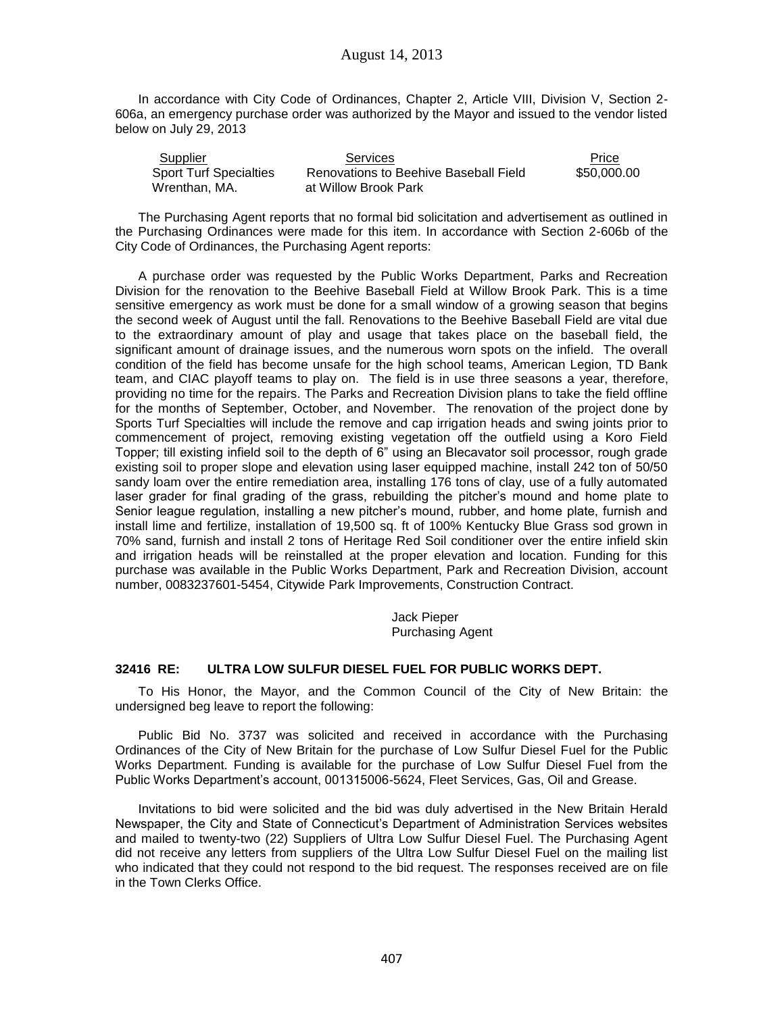In accordance with City Code of Ordinances, Chapter 2, Article VIII, Division V, Section 2- 606a, an emergency purchase order was authorized by the Mayor and issued to the vendor listed below on July 29, 2013

| Supplier                      | Services                              | Price       |
|-------------------------------|---------------------------------------|-------------|
| <b>Sport Turf Specialties</b> | Renovations to Beehive Baseball Field | \$50,000,00 |
| Wrenthan, MA.                 | at Willow Brook Park                  |             |

The Purchasing Agent reports that no formal bid solicitation and advertisement as outlined in the Purchasing Ordinances were made for this item. In accordance with Section 2-606b of the City Code of Ordinances, the Purchasing Agent reports:

A purchase order was requested by the Public Works Department, Parks and Recreation Division for the renovation to the Beehive Baseball Field at Willow Brook Park. This is a time sensitive emergency as work must be done for a small window of a growing season that begins the second week of August until the fall. Renovations to the Beehive Baseball Field are vital due to the extraordinary amount of play and usage that takes place on the baseball field, the significant amount of drainage issues, and the numerous worn spots on the infield. The overall condition of the field has become unsafe for the high school teams, American Legion, TD Bank team, and CIAC playoff teams to play on. The field is in use three seasons a year, therefore, providing no time for the repairs. The Parks and Recreation Division plans to take the field offline for the months of September, October, and November. The renovation of the project done by Sports Turf Specialties will include the remove and cap irrigation heads and swing joints prior to commencement of project, removing existing vegetation off the outfield using a Koro Field Topper; till existing infield soil to the depth of 6" using an Blecavator soil processor, rough grade existing soil to proper slope and elevation using laser equipped machine, install 242 ton of 50/50 sandy loam over the entire remediation area, installing 176 tons of clay, use of a fully automated laser grader for final grading of the grass, rebuilding the pitcher's mound and home plate to Senior league regulation, installing a new pitcher's mound, rubber, and home plate, furnish and install lime and fertilize, installation of 19,500 sq. ft of 100% Kentucky Blue Grass sod grown in 70% sand, furnish and install 2 tons of Heritage Red Soil conditioner over the entire infield skin and irrigation heads will be reinstalled at the proper elevation and location. Funding for this purchase was available in the Public Works Department, Park and Recreation Division, account number, 0083237601-5454, Citywide Park Improvements, Construction Contract.

> Jack Pieper Purchasing Agent

# **32416 RE: ULTRA LOW SULFUR DIESEL FUEL FOR PUBLIC WORKS DEPT.**

To His Honor, the Mayor, and the Common Council of the City of New Britain: the undersigned beg leave to report the following:

Public Bid No. 3737 was solicited and received in accordance with the Purchasing Ordinances of the City of New Britain for the purchase of Low Sulfur Diesel Fuel for the Public Works Department. Funding is available for the purchase of Low Sulfur Diesel Fuel from the Public Works Department's account, 001315006-5624, Fleet Services, Gas, Oil and Grease.

Invitations to bid were solicited and the bid was duly advertised in the New Britain Herald Newspaper, the City and State of Connecticut's Department of Administration Services websites and mailed to twenty-two (22) Suppliers of Ultra Low Sulfur Diesel Fuel. The Purchasing Agent did not receive any letters from suppliers of the Ultra Low Sulfur Diesel Fuel on the mailing list who indicated that they could not respond to the bid request. The responses received are on file in the Town Clerks Office.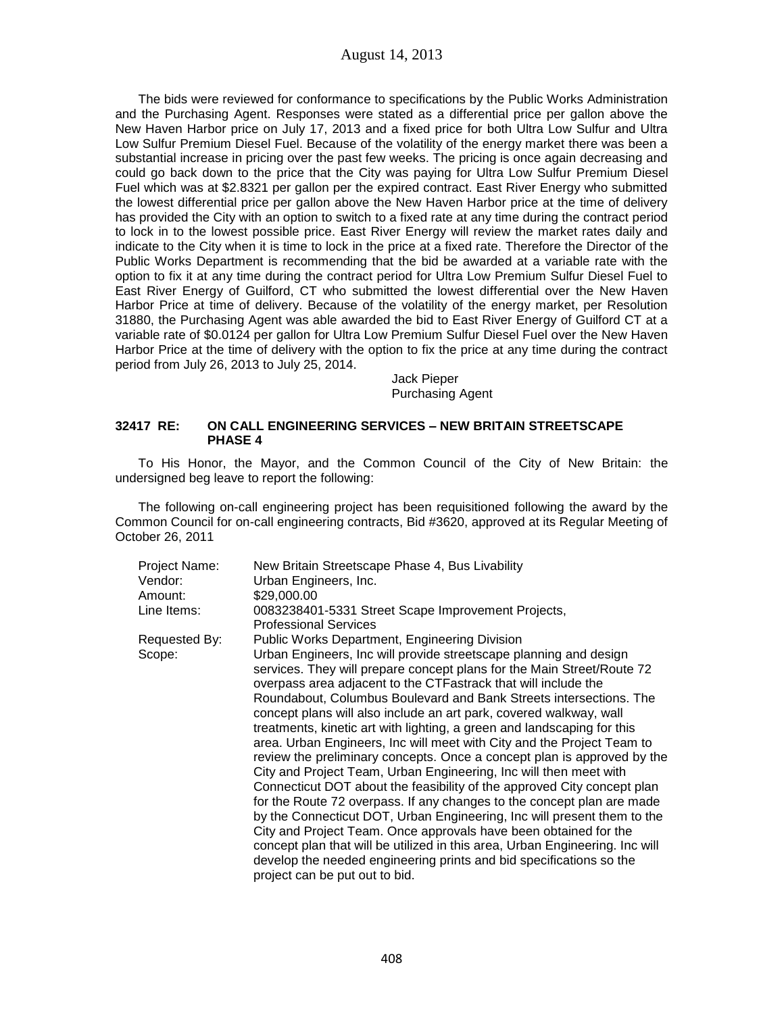The bids were reviewed for conformance to specifications by the Public Works Administration and the Purchasing Agent. Responses were stated as a differential price per gallon above the New Haven Harbor price on July 17, 2013 and a fixed price for both Ultra Low Sulfur and Ultra Low Sulfur Premium Diesel Fuel. Because of the volatility of the energy market there was been a substantial increase in pricing over the past few weeks. The pricing is once again decreasing and could go back down to the price that the City was paying for Ultra Low Sulfur Premium Diesel Fuel which was at \$2.8321 per gallon per the expired contract. East River Energy who submitted the lowest differential price per gallon above the New Haven Harbor price at the time of delivery has provided the City with an option to switch to a fixed rate at any time during the contract period to lock in to the lowest possible price. East River Energy will review the market rates daily and indicate to the City when it is time to lock in the price at a fixed rate. Therefore the Director of the Public Works Department is recommending that the bid be awarded at a variable rate with the option to fix it at any time during the contract period for Ultra Low Premium Sulfur Diesel Fuel to East River Energy of Guilford, CT who submitted the lowest differential over the New Haven Harbor Price at time of delivery. Because of the volatility of the energy market, per Resolution 31880, the Purchasing Agent was able awarded the bid to East River Energy of Guilford CT at a variable rate of \$0.0124 per gallon for Ultra Low Premium Sulfur Diesel Fuel over the New Haven Harbor Price at the time of delivery with the option to fix the price at any time during the contract period from July 26, 2013 to July 25, 2014.

> Jack Pieper Purchasing Agent

### **32417 RE: ON CALL ENGINEERING SERVICES – NEW BRITAIN STREETSCAPE PHASE 4**

To His Honor, the Mayor, and the Common Council of the City of New Britain: the undersigned beg leave to report the following:

The following on-call engineering project has been requisitioned following the award by the Common Council for on-call engineering contracts, Bid #3620, approved at its Regular Meeting of October 26, 2011

| Project Name:<br>Vendor: | New Britain Streetscape Phase 4, Bus Livability<br>Urban Engineers, Inc.                                                                                                                                                                                                                                                                                                                                                                                                                                                                                                                                                                                                                                                                                                                                                                                                                                                                                                                                                                                                                                                                                     |
|--------------------------|--------------------------------------------------------------------------------------------------------------------------------------------------------------------------------------------------------------------------------------------------------------------------------------------------------------------------------------------------------------------------------------------------------------------------------------------------------------------------------------------------------------------------------------------------------------------------------------------------------------------------------------------------------------------------------------------------------------------------------------------------------------------------------------------------------------------------------------------------------------------------------------------------------------------------------------------------------------------------------------------------------------------------------------------------------------------------------------------------------------------------------------------------------------|
| Amount:                  | \$29,000.00                                                                                                                                                                                                                                                                                                                                                                                                                                                                                                                                                                                                                                                                                                                                                                                                                                                                                                                                                                                                                                                                                                                                                  |
| Line Items:              | 0083238401-5331 Street Scape Improvement Projects,<br><b>Professional Services</b>                                                                                                                                                                                                                                                                                                                                                                                                                                                                                                                                                                                                                                                                                                                                                                                                                                                                                                                                                                                                                                                                           |
| Requested By:            | Public Works Department, Engineering Division                                                                                                                                                                                                                                                                                                                                                                                                                                                                                                                                                                                                                                                                                                                                                                                                                                                                                                                                                                                                                                                                                                                |
| Scope:                   | Urban Engineers, Inc will provide streetscape planning and design<br>services. They will prepare concept plans for the Main Street/Route 72<br>overpass area adjacent to the CTF astrack that will include the<br>Roundabout, Columbus Boulevard and Bank Streets intersections. The<br>concept plans will also include an art park, covered walkway, wall<br>treatments, kinetic art with lighting, a green and landscaping for this<br>area. Urban Engineers, Inc will meet with City and the Project Team to<br>review the preliminary concepts. Once a concept plan is approved by the<br>City and Project Team, Urban Engineering, Inc will then meet with<br>Connecticut DOT about the feasibility of the approved City concept plan<br>for the Route 72 overpass. If any changes to the concept plan are made<br>by the Connecticut DOT, Urban Engineering, Inc will present them to the<br>City and Project Team. Once approvals have been obtained for the<br>concept plan that will be utilized in this area, Urban Engineering. Inc will<br>develop the needed engineering prints and bid specifications so the<br>project can be put out to bid. |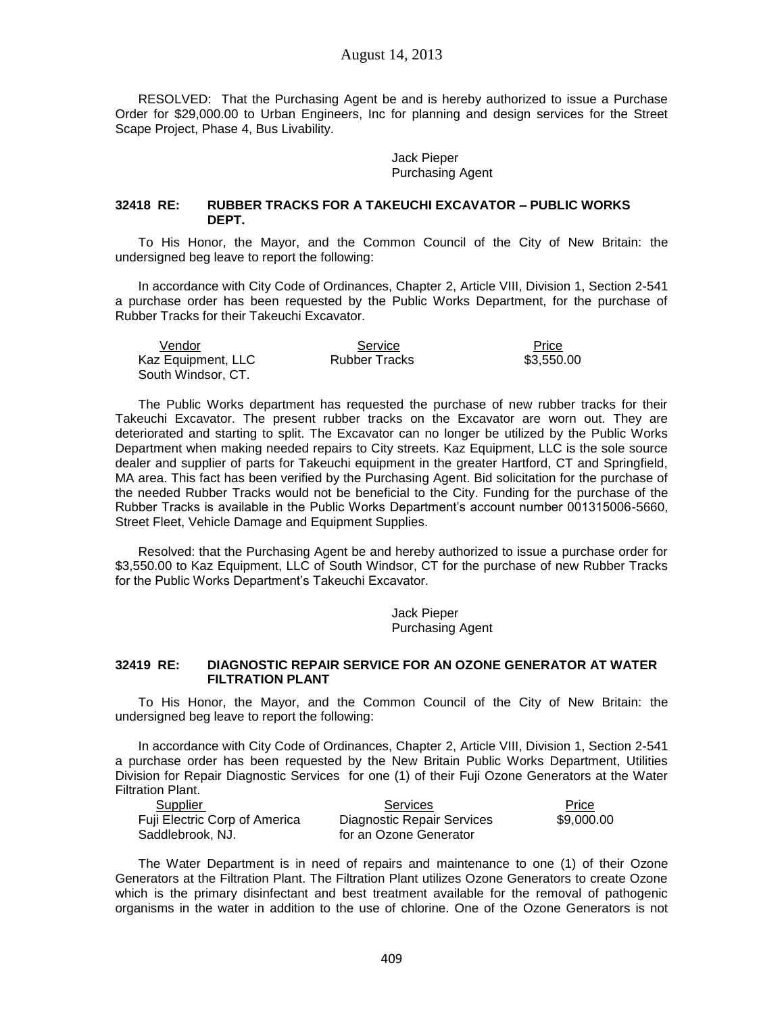August 14, 2013

RESOLVED: That the Purchasing Agent be and is hereby authorized to issue a Purchase Order for \$29,000.00 to Urban Engineers, Inc for planning and design services for the Street Scape Project, Phase 4, Bus Livability.

> Jack Pieper Purchasing Agent

### **32418 RE: RUBBER TRACKS FOR A TAKEUCHI EXCAVATOR – PUBLIC WORKS DEPT.**

To His Honor, the Mayor, and the Common Council of the City of New Britain: the undersigned beg leave to report the following:

In accordance with City Code of Ordinances, Chapter 2, Article VIII, Division 1, Section 2-541 a purchase order has been requested by the Public Works Department, for the purchase of Rubber Tracks for their Takeuchi Excavator.

| Vendor             | Service       | Price      |
|--------------------|---------------|------------|
| Kaz Equipment, LLC | Rubber Tracks | \$3.550.00 |
| South Windsor, CT. |               |            |

The Public Works department has requested the purchase of new rubber tracks for their Takeuchi Excavator. The present rubber tracks on the Excavator are worn out. They are deteriorated and starting to split. The Excavator can no longer be utilized by the Public Works Department when making needed repairs to City streets. Kaz Equipment, LLC is the sole source dealer and supplier of parts for Takeuchi equipment in the greater Hartford, CT and Springfield, MA area. This fact has been verified by the Purchasing Agent. Bid solicitation for the purchase of the needed Rubber Tracks would not be beneficial to the City. Funding for the purchase of the Rubber Tracks is available in the Public Works Department's account number 001315006-5660, Street Fleet, Vehicle Damage and Equipment Supplies.

Resolved: that the Purchasing Agent be and hereby authorized to issue a purchase order for \$3,550.00 to Kaz Equipment, LLC of South Windsor, CT for the purchase of new Rubber Tracks for the Public Works Department's Takeuchi Excavator.

> Jack Pieper Purchasing Agent

#### **32419 RE: DIAGNOSTIC REPAIR SERVICE FOR AN OZONE GENERATOR AT WATER FILTRATION PLANT**

To His Honor, the Mayor, and the Common Council of the City of New Britain: the undersigned beg leave to report the following:

In accordance with City Code of Ordinances, Chapter 2, Article VIII, Division 1, Section 2-541 a purchase order has been requested by the New Britain Public Works Department, Utilities Division for Repair Diagnostic Services for one (1) of their Fuji Ozone Generators at the Water Filtration Plant.

| Supplier                      | Services                   | Price      |
|-------------------------------|----------------------------|------------|
| Fuji Electric Corp of America | Diagnostic Repair Services | \$9,000.00 |
| Saddlebrook, NJ.              | for an Ozone Generator     |            |

The Water Department is in need of repairs and maintenance to one (1) of their Ozone Generators at the Filtration Plant. The Filtration Plant utilizes Ozone Generators to create Ozone which is the primary disinfectant and best treatment available for the removal of pathogenic organisms in the water in addition to the use of chlorine. One of the Ozone Generators is not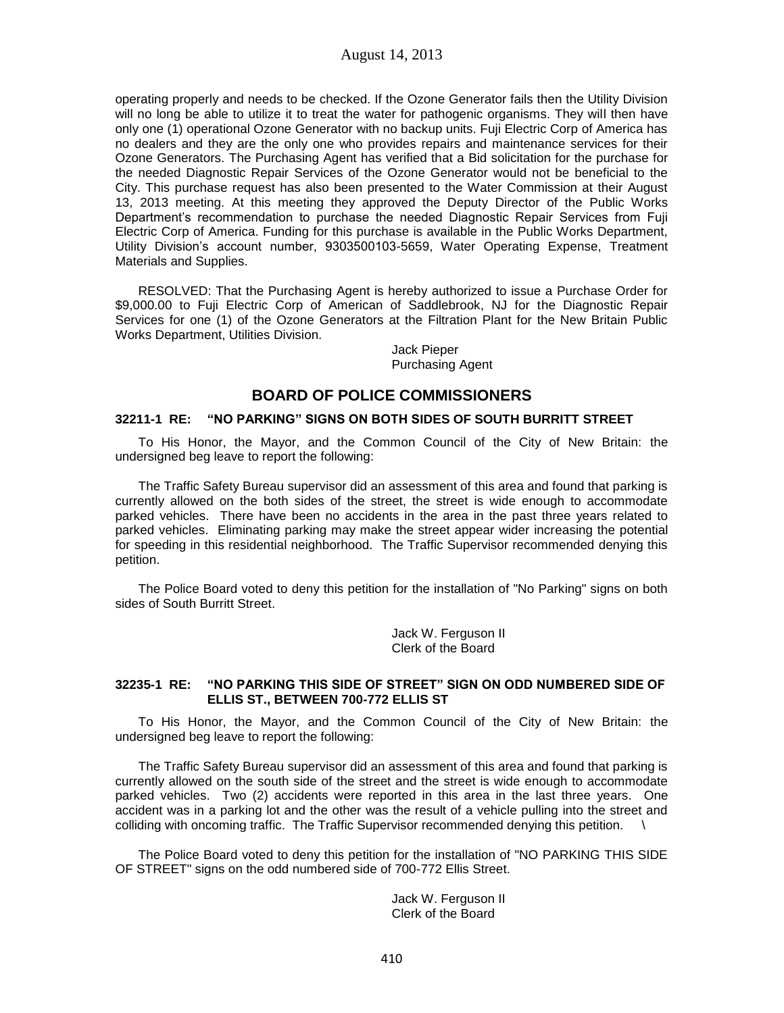operating properly and needs to be checked. If the Ozone Generator fails then the Utility Division will no long be able to utilize it to treat the water for pathogenic organisms. They will then have only one (1) operational Ozone Generator with no backup units. Fuji Electric Corp of America has no dealers and they are the only one who provides repairs and maintenance services for their Ozone Generators. The Purchasing Agent has verified that a Bid solicitation for the purchase for the needed Diagnostic Repair Services of the Ozone Generator would not be beneficial to the City. This purchase request has also been presented to the Water Commission at their August 13, 2013 meeting. At this meeting they approved the Deputy Director of the Public Works Department's recommendation to purchase the needed Diagnostic Repair Services from Fuji Electric Corp of America. Funding for this purchase is available in the Public Works Department, Utility Division's account number, 9303500103-5659, Water Operating Expense, Treatment Materials and Supplies.

RESOLVED: That the Purchasing Agent is hereby authorized to issue a Purchase Order for \$9,000.00 to Fuji Electric Corp of American of Saddlebrook, NJ for the Diagnostic Repair Services for one (1) of the Ozone Generators at the Filtration Plant for the New Britain Public Works Department, Utilities Division.

> Jack Pieper Purchasing Agent

# **BOARD OF POLICE COMMISSIONERS**

### **32211-1 RE: "NO PARKING" SIGNS ON BOTH SIDES OF SOUTH BURRITT STREET**

To His Honor, the Mayor, and the Common Council of the City of New Britain: the undersigned beg leave to report the following:

The Traffic Safety Bureau supervisor did an assessment of this area and found that parking is currently allowed on the both sides of the street, the street is wide enough to accommodate parked vehicles. There have been no accidents in the area in the past three years related to parked vehicles. Eliminating parking may make the street appear wider increasing the potential for speeding in this residential neighborhood. The Traffic Supervisor recommended denying this petition.

The Police Board voted to deny this petition for the installation of "No Parking" signs on both sides of South Burritt Street.

> Jack W. Ferguson II Clerk of the Board

# **32235-1 RE: "NO PARKING THIS SIDE OF STREET" SIGN ON ODD NUMBERED SIDE OF ELLIS ST., BETWEEN 700-772 ELLIS ST**

To His Honor, the Mayor, and the Common Council of the City of New Britain: the undersigned beg leave to report the following:

The Traffic Safety Bureau supervisor did an assessment of this area and found that parking is currently allowed on the south side of the street and the street is wide enough to accommodate parked vehicles. Two (2) accidents were reported in this area in the last three years. One accident was in a parking lot and the other was the result of a vehicle pulling into the street and colliding with oncoming traffic. The Traffic Supervisor recommended denying this petition.

The Police Board voted to deny this petition for the installation of "NO PARKING THIS SIDE OF STREET" signs on the odd numbered side of 700-772 Ellis Street.

> Jack W. Ferguson II Clerk of the Board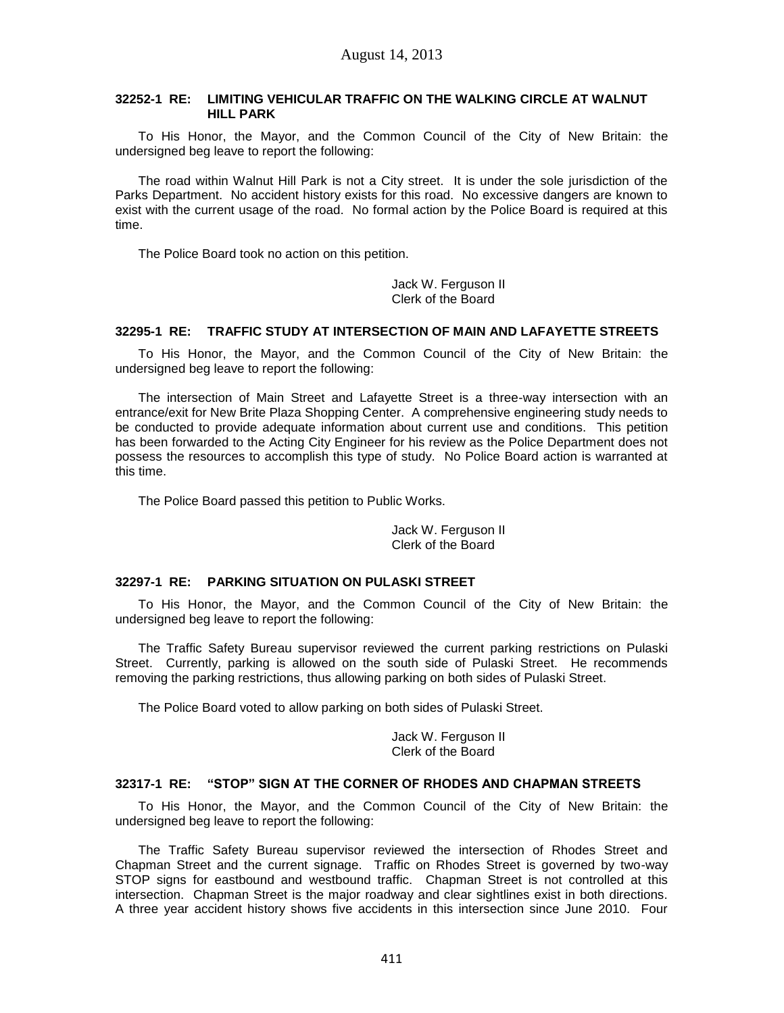### **32252-1 RE: LIMITING VEHICULAR TRAFFIC ON THE WALKING CIRCLE AT WALNUT HILL PARK**

To His Honor, the Mayor, and the Common Council of the City of New Britain: the undersigned beg leave to report the following:

The road within Walnut Hill Park is not a City street. It is under the sole jurisdiction of the Parks Department. No accident history exists for this road. No excessive dangers are known to exist with the current usage of the road. No formal action by the Police Board is required at this time.

The Police Board took no action on this petition.

Jack W. Ferguson II Clerk of the Board

# **32295-1 RE: TRAFFIC STUDY AT INTERSECTION OF MAIN AND LAFAYETTE STREETS**

To His Honor, the Mayor, and the Common Council of the City of New Britain: the undersigned beg leave to report the following:

The intersection of Main Street and Lafayette Street is a three-way intersection with an entrance/exit for New Brite Plaza Shopping Center. A comprehensive engineering study needs to be conducted to provide adequate information about current use and conditions. This petition has been forwarded to the Acting City Engineer for his review as the Police Department does not possess the resources to accomplish this type of study. No Police Board action is warranted at this time.

The Police Board passed this petition to Public Works.

Jack W. Ferguson II Clerk of the Board

## **32297-1 RE: PARKING SITUATION ON PULASKI STREET**

To His Honor, the Mayor, and the Common Council of the City of New Britain: the undersigned beg leave to report the following:

The Traffic Safety Bureau supervisor reviewed the current parking restrictions on Pulaski Street. Currently, parking is allowed on the south side of Pulaski Street. He recommends removing the parking restrictions, thus allowing parking on both sides of Pulaski Street.

The Police Board voted to allow parking on both sides of Pulaski Street.

Jack W. Ferguson II Clerk of the Board

### **32317-1 RE: "STOP" SIGN AT THE CORNER OF RHODES AND CHAPMAN STREETS**

To His Honor, the Mayor, and the Common Council of the City of New Britain: the undersigned beg leave to report the following:

The Traffic Safety Bureau supervisor reviewed the intersection of Rhodes Street and Chapman Street and the current signage. Traffic on Rhodes Street is governed by two-way STOP signs for eastbound and westbound traffic. Chapman Street is not controlled at this intersection. Chapman Street is the major roadway and clear sightlines exist in both directions. A three year accident history shows five accidents in this intersection since June 2010. Four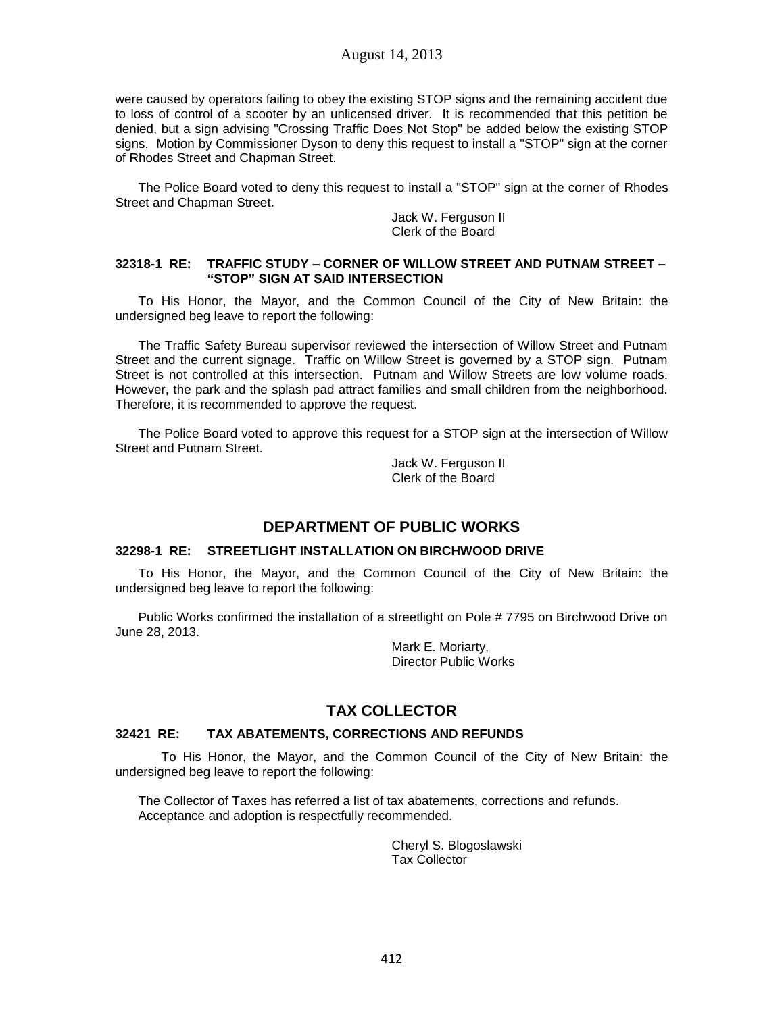were caused by operators failing to obey the existing STOP signs and the remaining accident due to loss of control of a scooter by an unlicensed driver. It is recommended that this petition be denied, but a sign advising "Crossing Traffic Does Not Stop" be added below the existing STOP signs. Motion by Commissioner Dyson to deny this request to install a "STOP" sign at the corner of Rhodes Street and Chapman Street.

The Police Board voted to deny this request to install a "STOP" sign at the corner of Rhodes Street and Chapman Street.

> Jack W. Ferguson II Clerk of the Board

### **32318-1 RE: TRAFFIC STUDY – CORNER OF WILLOW STREET AND PUTNAM STREET – "STOP" SIGN AT SAID INTERSECTION**

To His Honor, the Mayor, and the Common Council of the City of New Britain: the undersigned beg leave to report the following:

The Traffic Safety Bureau supervisor reviewed the intersection of Willow Street and Putnam Street and the current signage. Traffic on Willow Street is governed by a STOP sign. Putnam Street is not controlled at this intersection. Putnam and Willow Streets are low volume roads. However, the park and the splash pad attract families and small children from the neighborhood. Therefore, it is recommended to approve the request.

The Police Board voted to approve this request for a STOP sign at the intersection of Willow Street and Putnam Street.

> Jack W. Ferguson II Clerk of the Board

# **DEPARTMENT OF PUBLIC WORKS**

### **32298-1 RE: STREETLIGHT INSTALLATION ON BIRCHWOOD DRIVE**

To His Honor, the Mayor, and the Common Council of the City of New Britain: the undersigned beg leave to report the following:

Public Works confirmed the installation of a streetlight on Pole # 7795 on Birchwood Drive on June 28, 2013.

> Mark E. Moriarty, Director Public Works

# **TAX COLLECTOR**

### **32421 RE: TAX ABATEMENTS, CORRECTIONS AND REFUNDS**

To His Honor, the Mayor, and the Common Council of the City of New Britain: the undersigned beg leave to report the following:

The Collector of Taxes has referred a list of tax abatements, corrections and refunds. Acceptance and adoption is respectfully recommended.

> Cheryl S. Blogoslawski Tax Collector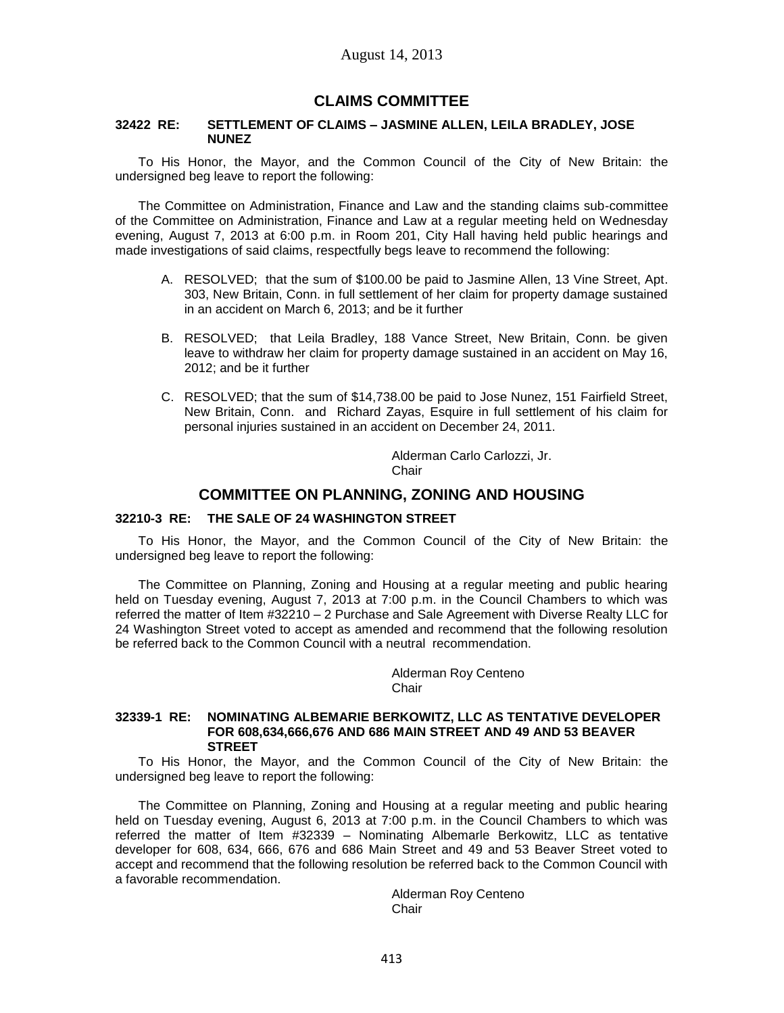# **CLAIMS COMMITTEE**

#### **32422 RE: SETTLEMENT OF CLAIMS – JASMINE ALLEN, LEILA BRADLEY, JOSE NUNEZ**

To His Honor, the Mayor, and the Common Council of the City of New Britain: the undersigned beg leave to report the following:

The Committee on Administration, Finance and Law and the standing claims sub-committee of the Committee on Administration, Finance and Law at a regular meeting held on Wednesday evening, August 7, 2013 at 6:00 p.m. in Room 201, City Hall having held public hearings and made investigations of said claims, respectfully begs leave to recommend the following:

- A. RESOLVED; that the sum of \$100.00 be paid to Jasmine Allen, 13 Vine Street, Apt. 303, New Britain, Conn. in full settlement of her claim for property damage sustained in an accident on March 6, 2013; and be it further
- B. RESOLVED; that Leila Bradley, 188 Vance Street, New Britain, Conn. be given leave to withdraw her claim for property damage sustained in an accident on May 16, 2012; and be it further
- C. RESOLVED; that the sum of \$14,738.00 be paid to Jose Nunez, 151 Fairfield Street, New Britain, Conn. and Richard Zayas, Esquire in full settlement of his claim for personal injuries sustained in an accident on December 24, 2011.

Alderman Carlo Carlozzi, Jr. Chair

# **COMMITTEE ON PLANNING, ZONING AND HOUSING**

#### **32210-3 RE: THE SALE OF 24 WASHINGTON STREET**

To His Honor, the Mayor, and the Common Council of the City of New Britain: the undersigned beg leave to report the following:

The Committee on Planning, Zoning and Housing at a regular meeting and public hearing held on Tuesday evening, August 7, 2013 at 7:00 p.m. in the Council Chambers to which was referred the matter of Item #32210 – 2 Purchase and Sale Agreement with Diverse Realty LLC for 24 Washington Street voted to accept as amended and recommend that the following resolution be referred back to the Common Council with a neutral recommendation.

> Alderman Roy Centeno **Chair**

## **32339-1 RE: NOMINATING ALBEMARIE BERKOWITZ, LLC AS TENTATIVE DEVELOPER FOR 608,634,666,676 AND 686 MAIN STREET AND 49 AND 53 BEAVER STREET**

To His Honor, the Mayor, and the Common Council of the City of New Britain: the undersigned beg leave to report the following:

The Committee on Planning, Zoning and Housing at a regular meeting and public hearing held on Tuesday evening, August 6, 2013 at 7:00 p.m. in the Council Chambers to which was referred the matter of Item #32339 – Nominating Albemarle Berkowitz, LLC as tentative developer for 608, 634, 666, 676 and 686 Main Street and 49 and 53 Beaver Street voted to accept and recommend that the following resolution be referred back to the Common Council with a favorable recommendation.

> Alderman Roy Centeno **Chair**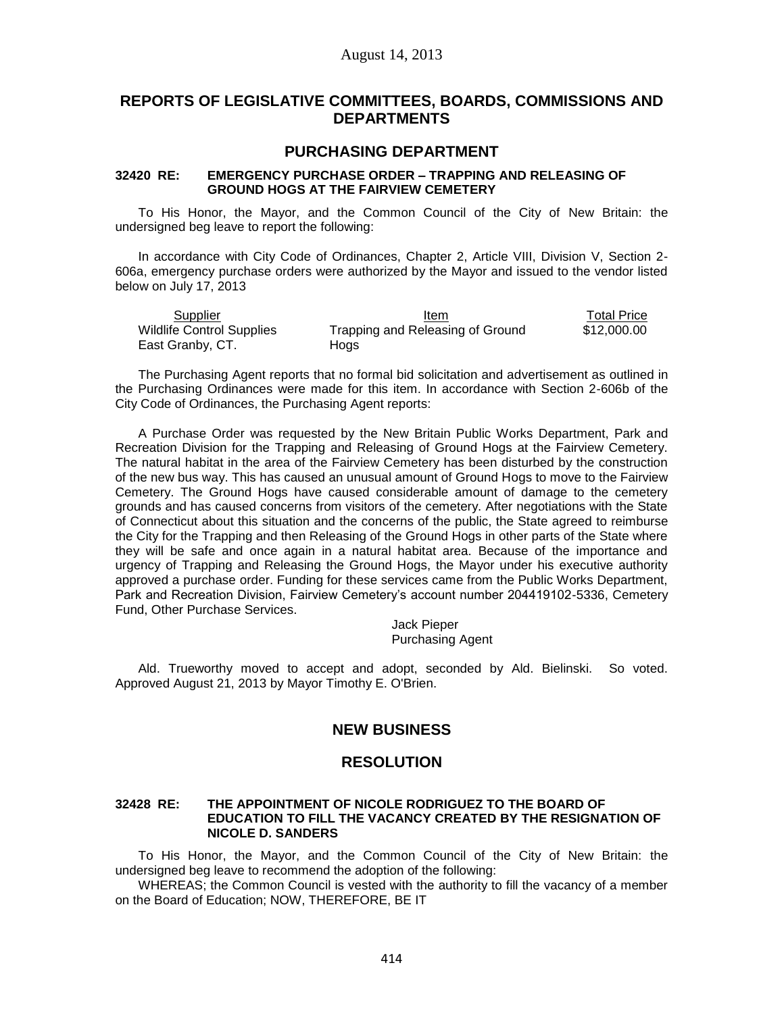# **REPORTS OF LEGISLATIVE COMMITTEES, BOARDS, COMMISSIONS AND DEPARTMENTS**

# **PURCHASING DEPARTMENT**

# **32420 RE: EMERGENCY PURCHASE ORDER – TRAPPING AND RELEASING OF GROUND HOGS AT THE FAIRVIEW CEMETERY**

To His Honor, the Mayor, and the Common Council of the City of New Britain: the undersigned beg leave to report the following:

In accordance with City Code of Ordinances, Chapter 2, Article VIII, Division V, Section 2- 606a, emergency purchase orders were authorized by the Mayor and issued to the vendor listed below on July 17, 2013

| Supplier                         | Item                             | <b>Total Price</b> |
|----------------------------------|----------------------------------|--------------------|
| <b>Wildlife Control Supplies</b> | Trapping and Releasing of Ground | \$12,000.00        |
| East Granby, CT.                 | Hoas                             |                    |

The Purchasing Agent reports that no formal bid solicitation and advertisement as outlined in the Purchasing Ordinances were made for this item. In accordance with Section 2-606b of the City Code of Ordinances, the Purchasing Agent reports:

A Purchase Order was requested by the New Britain Public Works Department, Park and Recreation Division for the Trapping and Releasing of Ground Hogs at the Fairview Cemetery. The natural habitat in the area of the Fairview Cemetery has been disturbed by the construction of the new bus way. This has caused an unusual amount of Ground Hogs to move to the Fairview Cemetery. The Ground Hogs have caused considerable amount of damage to the cemetery grounds and has caused concerns from visitors of the cemetery. After negotiations with the State of Connecticut about this situation and the concerns of the public, the State agreed to reimburse the City for the Trapping and then Releasing of the Ground Hogs in other parts of the State where they will be safe and once again in a natural habitat area. Because of the importance and urgency of Trapping and Releasing the Ground Hogs, the Mayor under his executive authority approved a purchase order. Funding for these services came from the Public Works Department, Park and Recreation Division, Fairview Cemetery's account number 204419102-5336, Cemetery Fund, Other Purchase Services.

> Jack Pieper Purchasing Agent

Ald. Trueworthy moved to accept and adopt, seconded by Ald. Bielinski. So voted. Approved August 21, 2013 by Mayor Timothy E. O'Brien.

# **NEW BUSINESS**

# **RESOLUTION**

### **32428 RE: THE APPOINTMENT OF NICOLE RODRIGUEZ TO THE BOARD OF EDUCATION TO FILL THE VACANCY CREATED BY THE RESIGNATION OF NICOLE D. SANDERS**

To His Honor, the Mayor, and the Common Council of the City of New Britain: the undersigned beg leave to recommend the adoption of the following:

WHEREAS; the Common Council is vested with the authority to fill the vacancy of a member on the Board of Education; NOW, THEREFORE, BE IT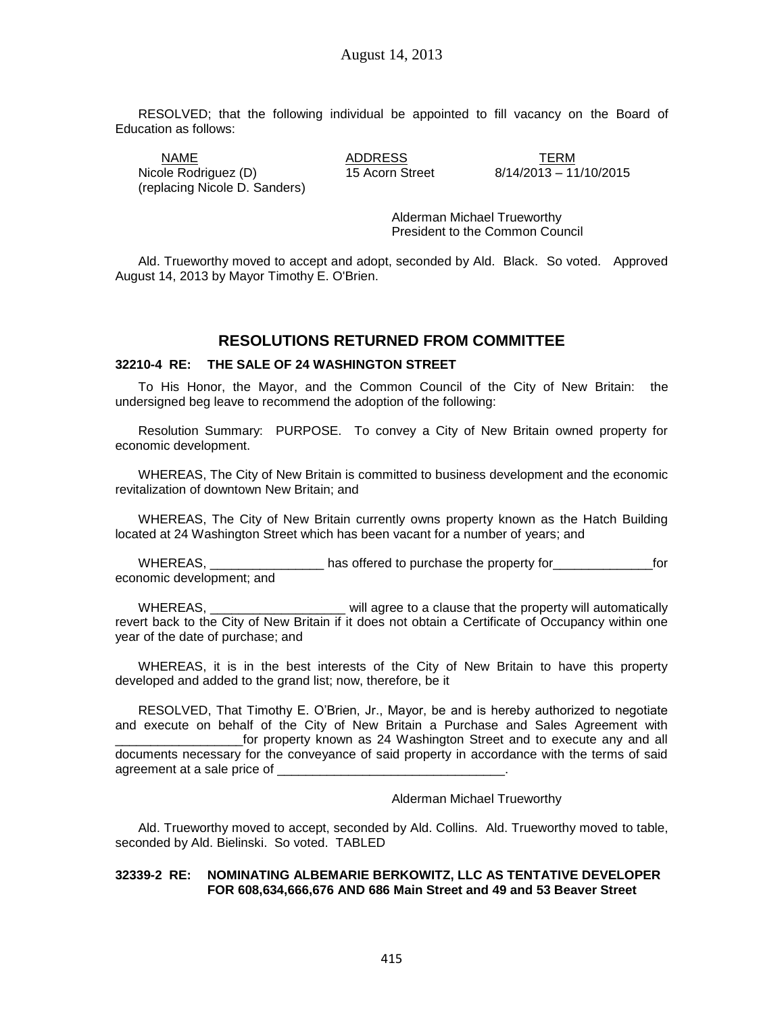RESOLVED; that the following individual be appointed to fill vacancy on the Board of Education as follows:

<u>NAME TERM</u><br>Ne Rodriguez (D) 15 Acorn Street 8/14/2013 – 11/10/2015 Nicole Rodriguez (D) 15 Acorn Street (replacing Nicole D. Sanders)

Alderman Michael Trueworthy President to the Common Council

Ald. Trueworthy moved to accept and adopt, seconded by Ald. Black. So voted. Approved August 14, 2013 by Mayor Timothy E. O'Brien.

# **RESOLUTIONS RETURNED FROM COMMITTEE**

### **32210-4 RE: THE SALE OF 24 WASHINGTON STREET**

To His Honor, the Mayor, and the Common Council of the City of New Britain: the undersigned beg leave to recommend the adoption of the following:

Resolution Summary: PURPOSE. To convey a City of New Britain owned property for economic development.

WHEREAS, The City of New Britain is committed to business development and the economic revitalization of downtown New Britain; and

WHEREAS, The City of New Britain currently owns property known as the Hatch Building located at 24 Washington Street which has been vacant for a number of years; and

WHEREAS, Thus has offered to purchase the property for the property for the property for the property for the state of the state of the state of the state of the state of the state of the state of the state of the state of economic development; and

WHEREAS, The same will agree to a clause that the property will automatically revert back to the City of New Britain if it does not obtain a Certificate of Occupancy within one year of the date of purchase; and

WHEREAS, it is in the best interests of the City of New Britain to have this property developed and added to the grand list; now, therefore, be it

RESOLVED, That Timothy E. O'Brien, Jr., Mayor, be and is hereby authorized to negotiate and execute on behalf of the City of New Britain a Purchase and Sales Agreement with for property known as 24 Washington Street and to execute any and all documents necessary for the conveyance of said property in accordance with the terms of said agreement at a sale price of

Alderman Michael Trueworthy

Ald. Trueworthy moved to accept, seconded by Ald. Collins. Ald. Trueworthy moved to table, seconded by Ald. Bielinski. So voted. TABLED

#### **32339-2 RE: NOMINATING ALBEMARIE BERKOWITZ, LLC AS TENTATIVE DEVELOPER FOR 608,634,666,676 AND 686 Main Street and 49 and 53 Beaver Street**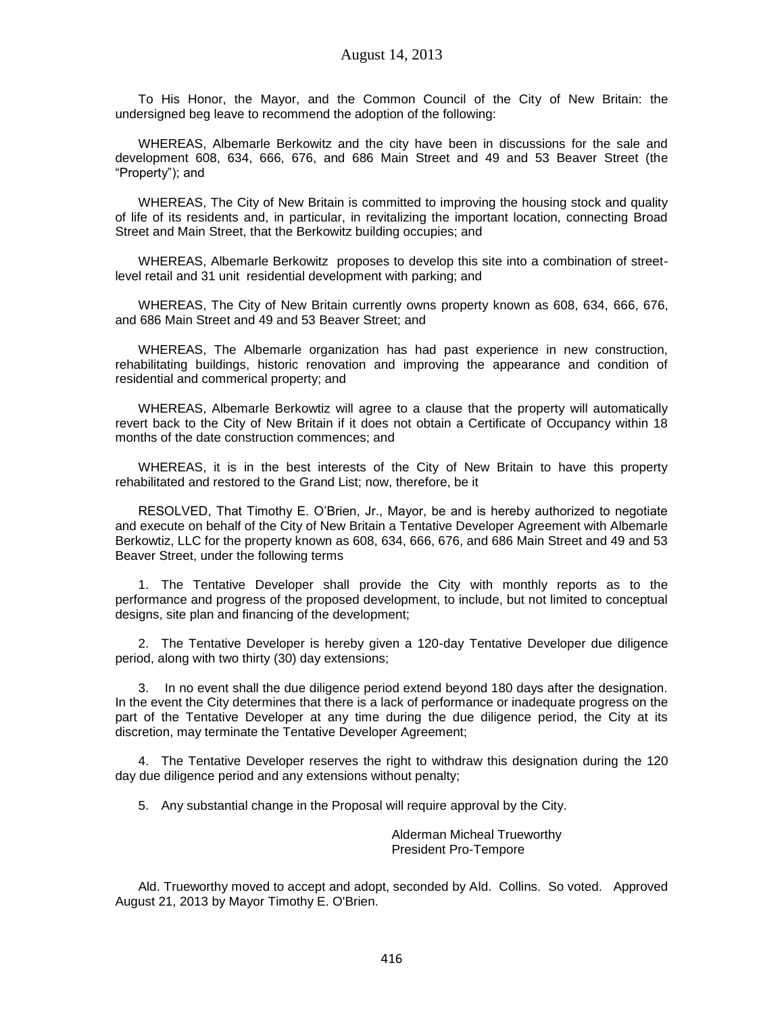To His Honor, the Mayor, and the Common Council of the City of New Britain: the undersigned beg leave to recommend the adoption of the following:

WHEREAS, Albemarle Berkowitz and the city have been in discussions for the sale and development 608, 634, 666, 676, and 686 Main Street and 49 and 53 Beaver Street (the "Property"); and

WHEREAS, The City of New Britain is committed to improving the housing stock and quality of life of its residents and, in particular, in revitalizing the important location, connecting Broad Street and Main Street, that the Berkowitz building occupies; and

WHEREAS, Albemarle Berkowitz proposes to develop this site into a combination of streetlevel retail and 31 unit residential development with parking; and

WHEREAS, The City of New Britain currently owns property known as 608, 634, 666, 676, and 686 Main Street and 49 and 53 Beaver Street; and

WHEREAS, The Albemarle organization has had past experience in new construction, rehabilitating buildings, historic renovation and improving the appearance and condition of residential and commerical property; and

WHEREAS, Albemarle Berkowtiz will agree to a clause that the property will automatically revert back to the City of New Britain if it does not obtain a Certificate of Occupancy within 18 months of the date construction commences; and

WHEREAS, it is in the best interests of the City of New Britain to have this property rehabilitated and restored to the Grand List; now, therefore, be it

RESOLVED, That Timothy E. O'Brien, Jr., Mayor, be and is hereby authorized to negotiate and execute on behalf of the City of New Britain a Tentative Developer Agreement with Albemarle Berkowtiz, LLC for the property known as 608, 634, 666, 676, and 686 Main Street and 49 and 53 Beaver Street, under the following terms

1. The Tentative Developer shall provide the City with monthly reports as to the performance and progress of the proposed development, to include, but not limited to conceptual designs, site plan and financing of the development;

2. The Tentative Developer is hereby given a 120-day Tentative Developer due diligence period, along with two thirty (30) day extensions;

3. In no event shall the due diligence period extend beyond 180 days after the designation. In the event the City determines that there is a lack of performance or inadequate progress on the part of the Tentative Developer at any time during the due diligence period, the City at its discretion, may terminate the Tentative Developer Agreement;

4. The Tentative Developer reserves the right to withdraw this designation during the 120 day due diligence period and any extensions without penalty;

5. Any substantial change in the Proposal will require approval by the City.

Alderman Micheal Trueworthy President Pro-Tempore

Ald. Trueworthy moved to accept and adopt, seconded by Ald. Collins. So voted. Approved August 21, 2013 by Mayor Timothy E. O'Brien.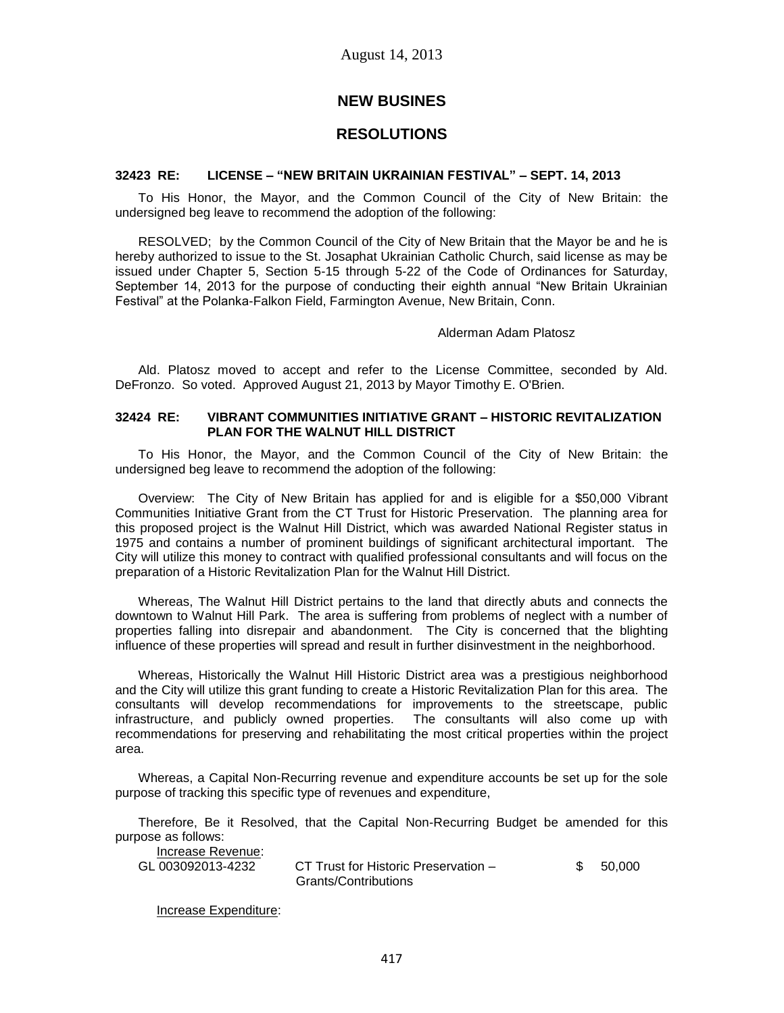# **NEW BUSINES**

# **RESOLUTIONS**

#### **32423 RE: LICENSE – "NEW BRITAIN UKRAINIAN FESTIVAL" – SEPT. 14, 2013**

To His Honor, the Mayor, and the Common Council of the City of New Britain: the undersigned beg leave to recommend the adoption of the following:

RESOLVED; by the Common Council of the City of New Britain that the Mayor be and he is hereby authorized to issue to the St. Josaphat Ukrainian Catholic Church, said license as may be issued under Chapter 5, Section 5-15 through 5-22 of the Code of Ordinances for Saturday, September 14, 2013 for the purpose of conducting their eighth annual "New Britain Ukrainian Festival" at the Polanka-Falkon Field, Farmington Avenue, New Britain, Conn.

#### Alderman Adam Platosz

Ald. Platosz moved to accept and refer to the License Committee, seconded by Ald. DeFronzo. So voted. Approved August 21, 2013 by Mayor Timothy E. O'Brien.

### **32424 RE: VIBRANT COMMUNITIES INITIATIVE GRANT – HISTORIC REVITALIZATION PLAN FOR THE WALNUT HILL DISTRICT**

To His Honor, the Mayor, and the Common Council of the City of New Britain: the undersigned beg leave to recommend the adoption of the following:

Overview: The City of New Britain has applied for and is eligible for a \$50,000 Vibrant Communities Initiative Grant from the CT Trust for Historic Preservation. The planning area for this proposed project is the Walnut Hill District, which was awarded National Register status in 1975 and contains a number of prominent buildings of significant architectural important. The City will utilize this money to contract with qualified professional consultants and will focus on the preparation of a Historic Revitalization Plan for the Walnut Hill District.

Whereas, The Walnut Hill District pertains to the land that directly abuts and connects the downtown to Walnut Hill Park. The area is suffering from problems of neglect with a number of properties falling into disrepair and abandonment. The City is concerned that the blighting influence of these properties will spread and result in further disinvestment in the neighborhood.

Whereas, Historically the Walnut Hill Historic District area was a prestigious neighborhood and the City will utilize this grant funding to create a Historic Revitalization Plan for this area. The consultants will develop recommendations for improvements to the streetscape, public infrastructure, and publicly owned properties. The consultants will also come up with recommendations for preserving and rehabilitating the most critical properties within the project area.

Whereas, a Capital Non-Recurring revenue and expenditure accounts be set up for the sole purpose of tracking this specific type of revenues and expenditure,

Therefore, Be it Resolved, that the Capital Non-Recurring Budget be amended for this purpose as follows:

| Increase Revenue: |                                      |           |
|-------------------|--------------------------------------|-----------|
| GL 003092013-4232 | CT Trust for Historic Preservation – | \$ 50.000 |
|                   | Grants/Contributions                 |           |

Increase Expenditure: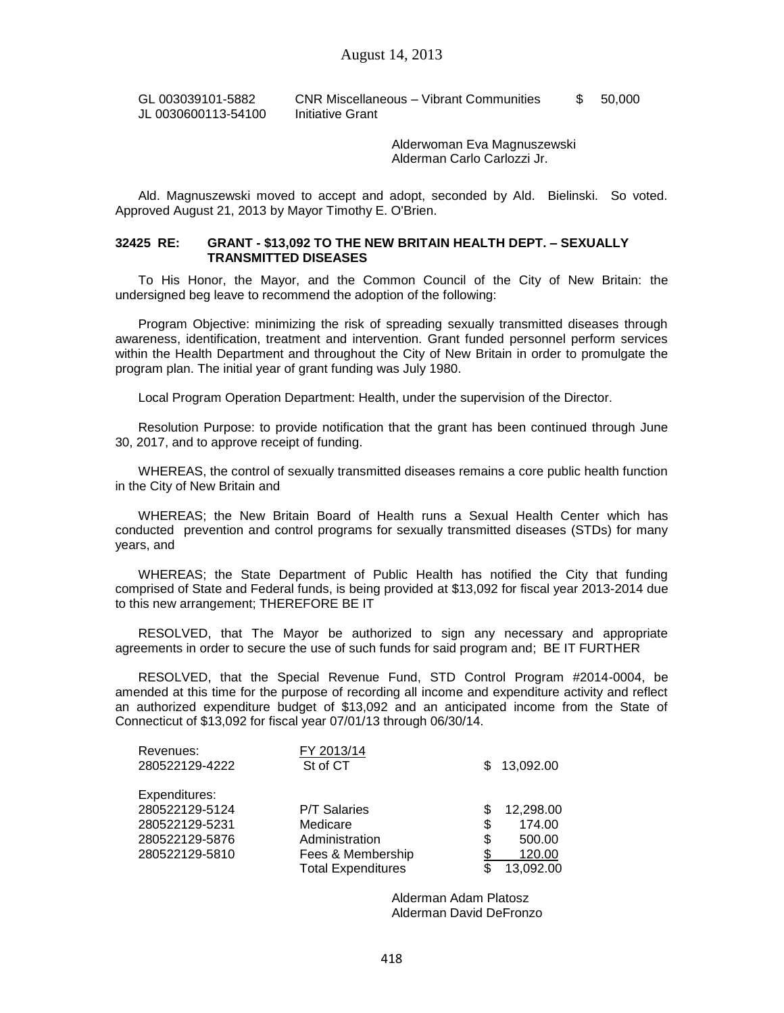GL 003039101-5882 JL 0030600113-54100 CNR Miscellaneous – Vibrant Communities Initiative Grant \$ 50,000

> Alderwoman Eva Magnuszewski Alderman Carlo Carlozzi Jr.

Ald. Magnuszewski moved to accept and adopt, seconded by Ald. Bielinski. So voted. Approved August 21, 2013 by Mayor Timothy E. O'Brien.

#### **32425 RE: GRANT - \$13,092 TO THE NEW BRITAIN HEALTH DEPT. – SEXUALLY TRANSMITTED DISEASES**

To His Honor, the Mayor, and the Common Council of the City of New Britain: the undersigned beg leave to recommend the adoption of the following:

Program Objective: minimizing the risk of spreading sexually transmitted diseases through awareness, identification, treatment and intervention. Grant funded personnel perform services within the Health Department and throughout the City of New Britain in order to promulgate the program plan. The initial year of grant funding was July 1980.

Local Program Operation Department: Health, under the supervision of the Director.

Resolution Purpose: to provide notification that the grant has been continued through June 30, 2017, and to approve receipt of funding.

WHEREAS, the control of sexually transmitted diseases remains a core public health function in the City of New Britain and

WHEREAS; the New Britain Board of Health runs a Sexual Health Center which has conducted prevention and control programs for sexually transmitted diseases (STDs) for many years, and

WHEREAS; the State Department of Public Health has notified the City that funding comprised of State and Federal funds, is being provided at \$13,092 for fiscal year 2013-2014 due to this new arrangement; THEREFORE BE IT

RESOLVED, that The Mayor be authorized to sign any necessary and appropriate agreements in order to secure the use of such funds for said program and; BE IT FURTHER

RESOLVED, that the Special Revenue Fund, STD Control Program #2014-0004, be amended at this time for the purpose of recording all income and expenditure activity and reflect an authorized expenditure budget of \$13,092 and an anticipated income from the State of Connecticut of \$13,092 for fiscal year 07/01/13 through 06/30/14.

| Revenues:<br>280522129-4222 | FY 2013/14<br>St of CT    | S. | 13,092.00 |
|-----------------------------|---------------------------|----|-----------|
| Expenditures:               |                           |    |           |
| 280522129-5124              | <b>P/T Salaries</b>       | S  | 12,298.00 |
| 280522129-5231              | Medicare                  | \$ | 174.00    |
| 280522129-5876              | Administration            | \$ | 500.00    |
| 280522129-5810              | Fees & Membership         |    | 120.00    |
|                             | <b>Total Expenditures</b> |    | 13,092.00 |

Alderman Adam Platosz Alderman David DeFronzo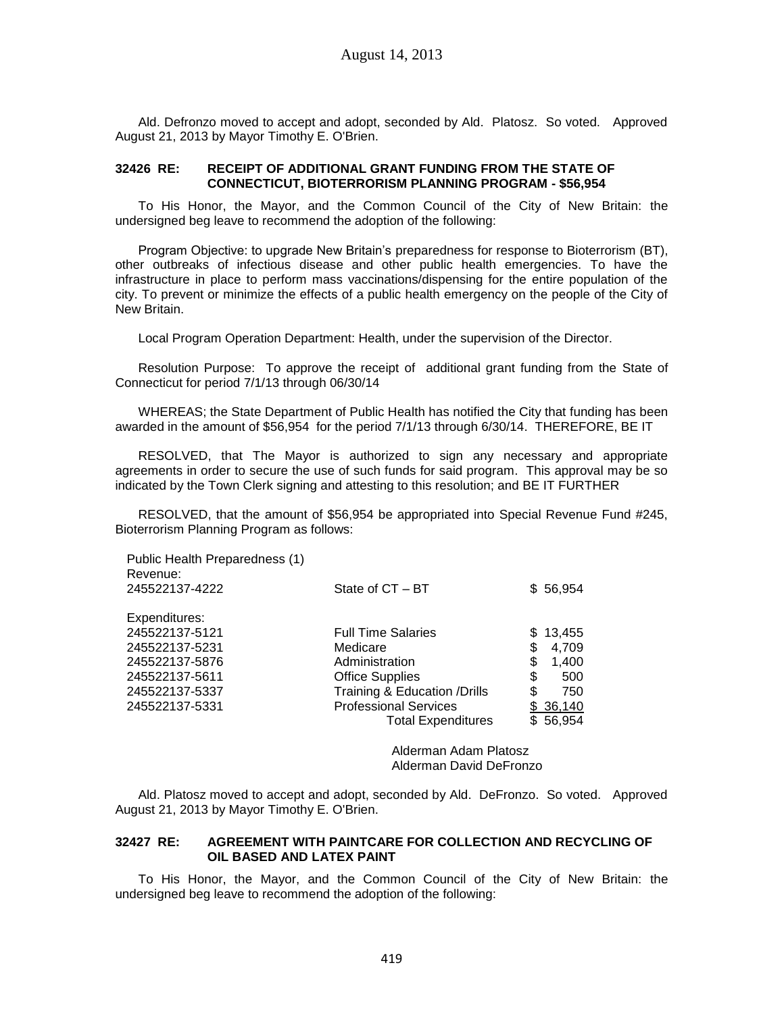Ald. Defronzo moved to accept and adopt, seconded by Ald. Platosz. So voted. Approved August 21, 2013 by Mayor Timothy E. O'Brien.

### **32426 RE: RECEIPT OF ADDITIONAL GRANT FUNDING FROM THE STATE OF CONNECTICUT, BIOTERRORISM PLANNING PROGRAM - \$56,954**

To His Honor, the Mayor, and the Common Council of the City of New Britain: the undersigned beg leave to recommend the adoption of the following:

Program Objective: to upgrade New Britain's preparedness for response to Bioterrorism (BT), other outbreaks of infectious disease and other public health emergencies. To have the infrastructure in place to perform mass vaccinations/dispensing for the entire population of the city. To prevent or minimize the effects of a public health emergency on the people of the City of New Britain.

Local Program Operation Department: Health, under the supervision of the Director.

Resolution Purpose: To approve the receipt of additional grant funding from the State of Connecticut for period 7/1/13 through 06/30/14

WHEREAS; the State Department of Public Health has notified the City that funding has been awarded in the amount of \$56,954 for the period 7/1/13 through 6/30/14. THEREFORE, BE IT

RESOLVED, that The Mayor is authorized to sign any necessary and appropriate agreements in order to secure the use of such funds for said program. This approval may be so indicated by the Town Clerk signing and attesting to this resolution; and BE IT FURTHER

RESOLVED, that the amount of \$56,954 be appropriated into Special Revenue Fund #245, Bioterrorism Planning Program as follows:

| Public Health Preparedness (1)<br>Revenue: |                               |              |
|--------------------------------------------|-------------------------------|--------------|
| 245522137-4222                             | State of CT - BT              | \$56,954     |
| Expenditures:                              |                               |              |
| 245522137-5121                             | <b>Full Time Salaries</b>     | 13,455<br>S. |
| 245522137-5231                             | Medicare                      | \$<br>4,709  |
| 245522137-5876                             | Administration                | \$<br>1,400  |
| 245522137-5611                             | <b>Office Supplies</b>        | \$<br>500    |
| 245522137-5337                             | Training & Education / Drills | \$<br>750    |
| 245522137-5331                             | <b>Professional Services</b>  | \$36,140     |
|                                            | <b>Total Expenditures</b>     | \$56,954     |

Alderman Adam Platosz Alderman David DeFronzo

Ald. Platosz moved to accept and adopt, seconded by Ald. DeFronzo. So voted. Approved August 21, 2013 by Mayor Timothy E. O'Brien.

### **32427 RE: AGREEMENT WITH PAINTCARE FOR COLLECTION AND RECYCLING OF OIL BASED AND LATEX PAINT**

To His Honor, the Mayor, and the Common Council of the City of New Britain: the undersigned beg leave to recommend the adoption of the following: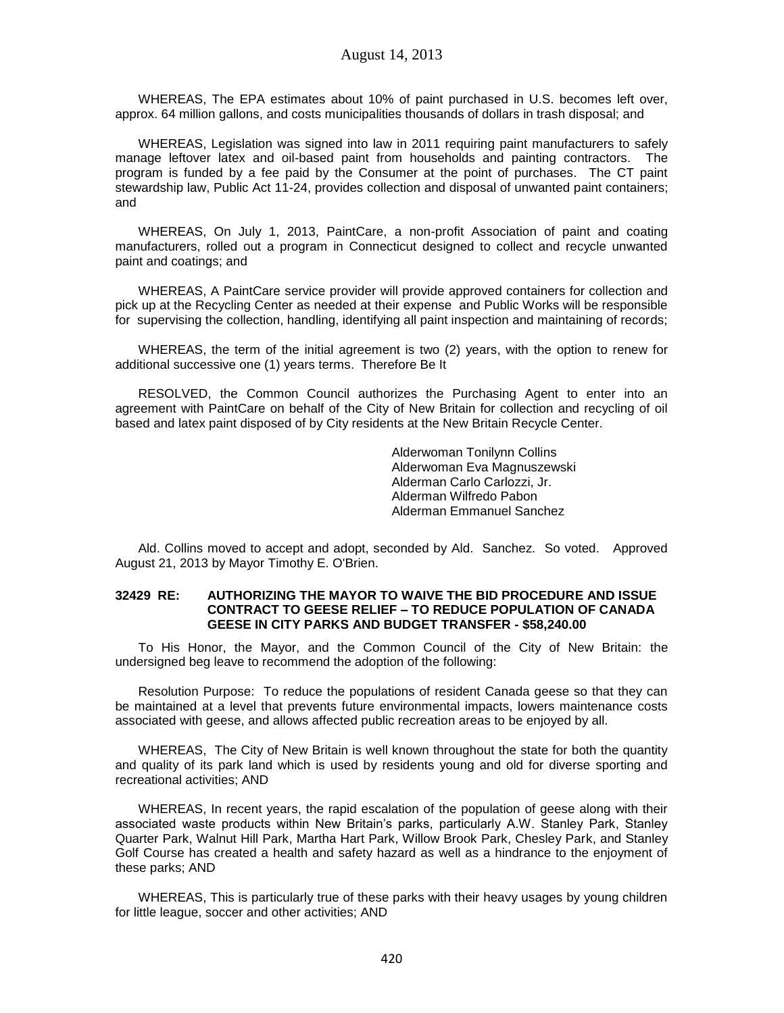WHEREAS, The EPA estimates about 10% of paint purchased in U.S. becomes left over, approx. 64 million gallons, and costs municipalities thousands of dollars in trash disposal; and

WHEREAS, Legislation was signed into law in 2011 requiring paint manufacturers to safely manage leftover latex and oil-based paint from households and painting contractors. The program is funded by a fee paid by the Consumer at the point of purchases. The CT paint stewardship law, Public Act 11-24, provides collection and disposal of unwanted paint containers; and

WHEREAS, On July 1, 2013, PaintCare, a non-profit Association of paint and coating manufacturers, rolled out a program in Connecticut designed to collect and recycle unwanted paint and coatings; and

WHEREAS, A PaintCare service provider will provide approved containers for collection and pick up at the Recycling Center as needed at their expense and Public Works will be responsible for supervising the collection, handling, identifying all paint inspection and maintaining of records;

WHEREAS, the term of the initial agreement is two (2) years, with the option to renew for additional successive one (1) years terms. Therefore Be It

RESOLVED, the Common Council authorizes the Purchasing Agent to enter into an agreement with PaintCare on behalf of the City of New Britain for collection and recycling of oil based and latex paint disposed of by City residents at the New Britain Recycle Center.

> Alderwoman Tonilynn Collins Alderwoman Eva Magnuszewski Alderman Carlo Carlozzi, Jr. Alderman Wilfredo Pabon Alderman Emmanuel Sanchez

Ald. Collins moved to accept and adopt, seconded by Ald. Sanchez. So voted. Approved August 21, 2013 by Mayor Timothy E. O'Brien.

### **32429 RE: AUTHORIZING THE MAYOR TO WAIVE THE BID PROCEDURE AND ISSUE CONTRACT TO GEESE RELIEF – TO REDUCE POPULATION OF CANADA GEESE IN CITY PARKS AND BUDGET TRANSFER - \$58,240.00**

To His Honor, the Mayor, and the Common Council of the City of New Britain: the undersigned beg leave to recommend the adoption of the following:

Resolution Purpose: To reduce the populations of resident Canada geese so that they can be maintained at a level that prevents future environmental impacts, lowers maintenance costs associated with geese, and allows affected public recreation areas to be enjoyed by all.

WHEREAS, The City of New Britain is well known throughout the state for both the quantity and quality of its park land which is used by residents young and old for diverse sporting and recreational activities; AND

WHEREAS, In recent years, the rapid escalation of the population of geese along with their associated waste products within New Britain's parks, particularly A.W. Stanley Park, Stanley Quarter Park, Walnut Hill Park, Martha Hart Park, Willow Brook Park, Chesley Park, and Stanley Golf Course has created a health and safety hazard as well as a hindrance to the enjoyment of these parks; AND

WHEREAS, This is particularly true of these parks with their heavy usages by young children for little league, soccer and other activities; AND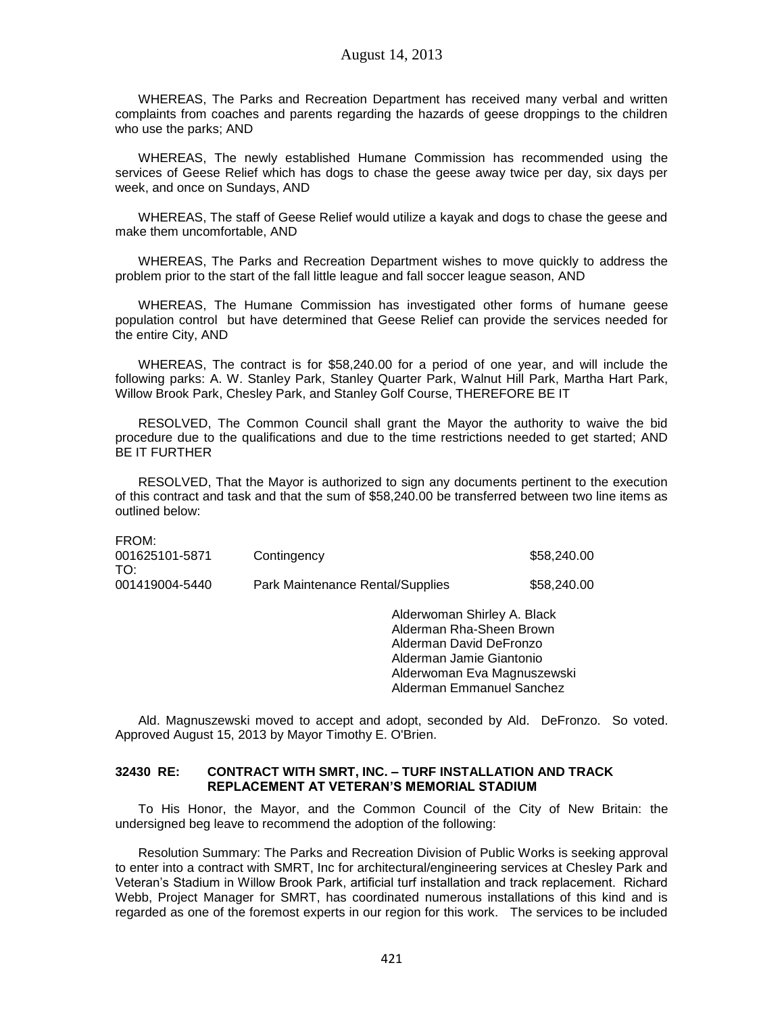WHEREAS, The Parks and Recreation Department has received many verbal and written complaints from coaches and parents regarding the hazards of geese droppings to the children who use the parks; AND

WHEREAS, The newly established Humane Commission has recommended using the services of Geese Relief which has dogs to chase the geese away twice per day, six days per week, and once on Sundays, AND

WHEREAS, The staff of Geese Relief would utilize a kayak and dogs to chase the geese and make them uncomfortable, AND

WHEREAS, The Parks and Recreation Department wishes to move quickly to address the problem prior to the start of the fall little league and fall soccer league season, AND

WHEREAS, The Humane Commission has investigated other forms of humane geese population control but have determined that Geese Relief can provide the services needed for the entire City, AND

WHEREAS, The contract is for \$58,240.00 for a period of one year, and will include the following parks: A. W. Stanley Park, Stanley Quarter Park, Walnut Hill Park, Martha Hart Park, Willow Brook Park, Chesley Park, and Stanley Golf Course, THEREFORE BE IT

RESOLVED, The Common Council shall grant the Mayor the authority to waive the bid procedure due to the qualifications and due to the time restrictions needed to get started; AND BE IT FURTHER

RESOLVED, That the Mayor is authorized to sign any documents pertinent to the execution of this contract and task and that the sum of \$58,240.00 be transferred between two line items as outlined below:

FROM:

| 001625101-5871<br>TO: | Contingency                      | \$58,240.00 |
|-----------------------|----------------------------------|-------------|
| 001419004-5440        | Park Maintenance Rental/Supplies | \$58,240.00 |

Alderwoman Shirley A. Black Alderman Rha-Sheen Brown Alderman David DeFronzo Alderman Jamie Giantonio Alderwoman Eva Magnuszewski Alderman Emmanuel Sanchez

Ald. Magnuszewski moved to accept and adopt, seconded by Ald. DeFronzo. So voted. Approved August 15, 2013 by Mayor Timothy E. O'Brien.

### **32430 RE: CONTRACT WITH SMRT, INC. – TURF INSTALLATION AND TRACK REPLACEMENT AT VETERAN'S MEMORIAL STADIUM**

To His Honor, the Mayor, and the Common Council of the City of New Britain: the undersigned beg leave to recommend the adoption of the following:

Resolution Summary: The Parks and Recreation Division of Public Works is seeking approval to enter into a contract with SMRT, Inc for architectural/engineering services at Chesley Park and Veteran's Stadium in Willow Brook Park, artificial turf installation and track replacement. Richard Webb, Project Manager for SMRT, has coordinated numerous installations of this kind and is regarded as one of the foremost experts in our region for this work. The services to be included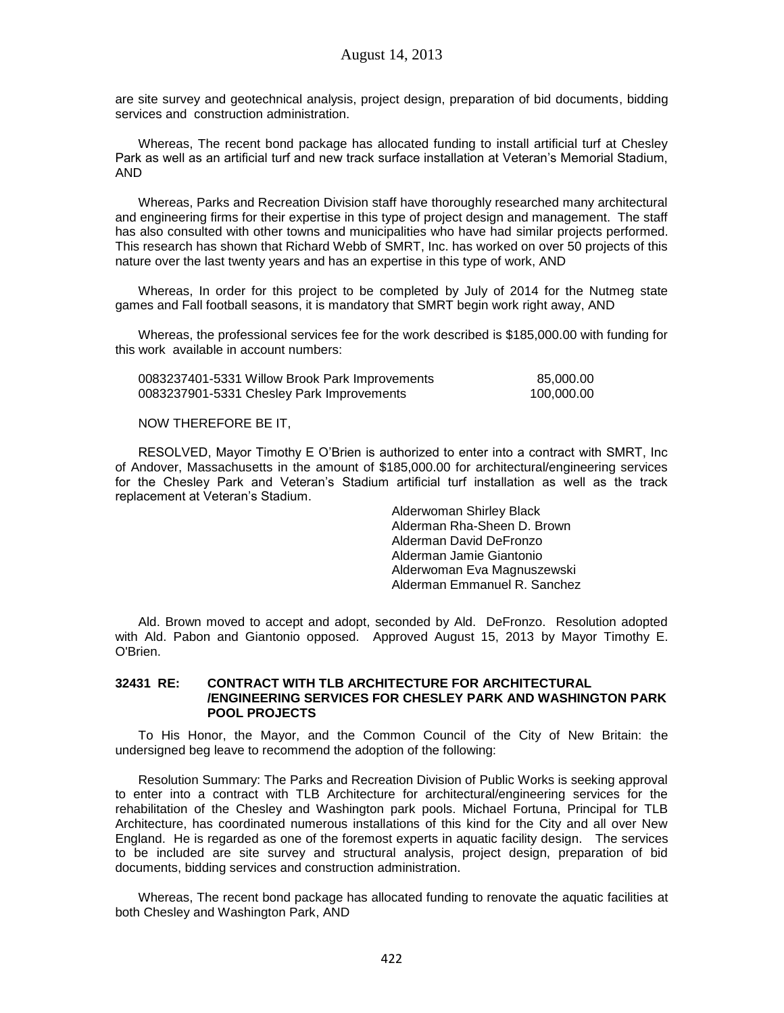are site survey and geotechnical analysis, project design, preparation of bid documents, bidding services and construction administration.

Whereas, The recent bond package has allocated funding to install artificial turf at Chesley Park as well as an artificial turf and new track surface installation at Veteran's Memorial Stadium, AND

Whereas, Parks and Recreation Division staff have thoroughly researched many architectural and engineering firms for their expertise in this type of project design and management. The staff has also consulted with other towns and municipalities who have had similar projects performed. This research has shown that Richard Webb of SMRT, Inc. has worked on over 50 projects of this nature over the last twenty years and has an expertise in this type of work, AND

Whereas, In order for this project to be completed by July of 2014 for the Nutmeg state games and Fall football seasons, it is mandatory that SMRT begin work right away, AND

Whereas, the professional services fee for the work described is \$185,000.00 with funding for this work available in account numbers:

| 0083237401-5331 Willow Brook Park Improvements | 85,000.00  |
|------------------------------------------------|------------|
| 0083237901-5331 Chesley Park Improvements      | 100,000.00 |

### NOW THEREFORE BE IT,

RESOLVED, Mayor Timothy E O'Brien is authorized to enter into a contract with SMRT, Inc of Andover, Massachusetts in the amount of \$185,000.00 for architectural/engineering services for the Chesley Park and Veteran's Stadium artificial turf installation as well as the track replacement at Veteran's Stadium.

> Alderwoman Shirley Black Alderman Rha-Sheen D. Brown Alderman David DeFronzo Alderman Jamie Giantonio Alderwoman Eva Magnuszewski Alderman Emmanuel R. Sanchez

Ald. Brown moved to accept and adopt, seconded by Ald. DeFronzo. Resolution adopted with Ald. Pabon and Giantonio opposed. Approved August 15, 2013 by Mayor Timothy E. O'Brien.

### **32431 RE: CONTRACT WITH TLB ARCHITECTURE FOR ARCHITECTURAL /ENGINEERING SERVICES FOR CHESLEY PARK AND WASHINGTON PARK POOL PROJECTS**

To His Honor, the Mayor, and the Common Council of the City of New Britain: the undersigned beg leave to recommend the adoption of the following:

Resolution Summary: The Parks and Recreation Division of Public Works is seeking approval to enter into a contract with TLB Architecture for architectural/engineering services for the rehabilitation of the Chesley and Washington park pools. Michael Fortuna, Principal for TLB Architecture, has coordinated numerous installations of this kind for the City and all over New England. He is regarded as one of the foremost experts in aquatic facility design. The services to be included are site survey and structural analysis, project design, preparation of bid documents, bidding services and construction administration.

Whereas, The recent bond package has allocated funding to renovate the aquatic facilities at both Chesley and Washington Park, AND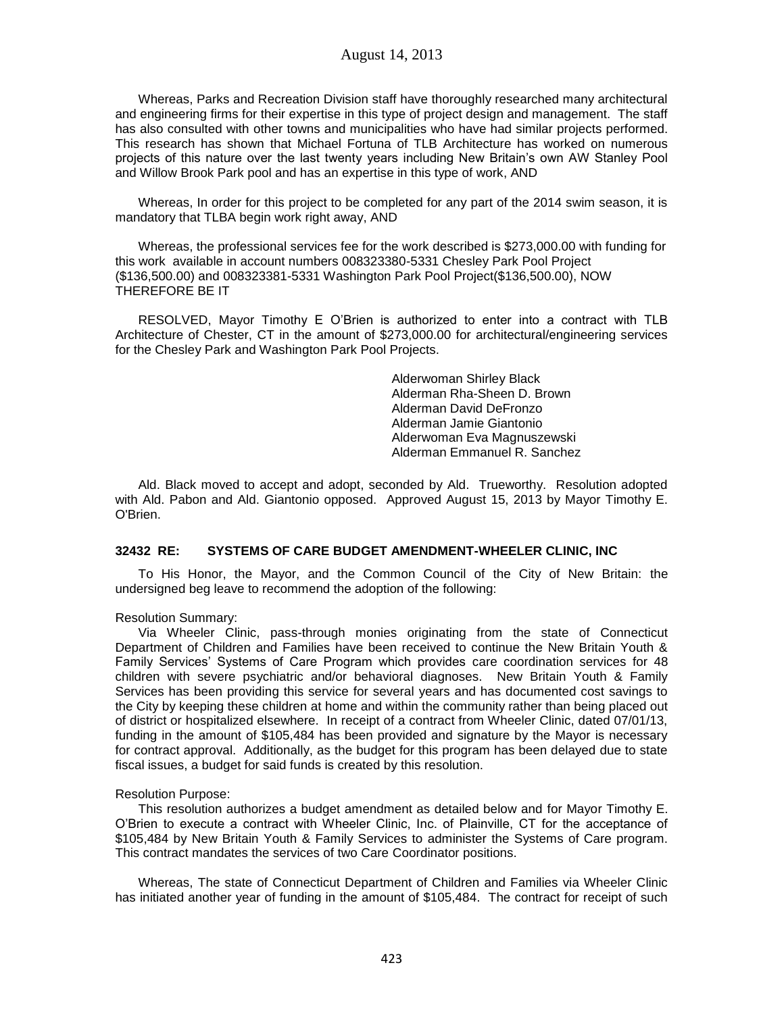Whereas, Parks and Recreation Division staff have thoroughly researched many architectural and engineering firms for their expertise in this type of project design and management. The staff has also consulted with other towns and municipalities who have had similar projects performed. This research has shown that Michael Fortuna of TLB Architecture has worked on numerous projects of this nature over the last twenty years including New Britain's own AW Stanley Pool and Willow Brook Park pool and has an expertise in this type of work, AND

Whereas, In order for this project to be completed for any part of the 2014 swim season, it is mandatory that TLBA begin work right away, AND

Whereas, the professional services fee for the work described is \$273,000.00 with funding for this work available in account numbers 008323380-5331 Chesley Park Pool Project (\$136,500.00) and 008323381-5331 Washington Park Pool Project(\$136,500.00), NOW THEREFORE BE IT

RESOLVED, Mayor Timothy E O'Brien is authorized to enter into a contract with TLB Architecture of Chester, CT in the amount of \$273,000.00 for architectural/engineering services for the Chesley Park and Washington Park Pool Projects.

> Alderwoman Shirley Black Alderman Rha-Sheen D. Brown Alderman David DeFronzo Alderman Jamie Giantonio Alderwoman Eva Magnuszewski Alderman Emmanuel R. Sanchez

Ald. Black moved to accept and adopt, seconded by Ald. Trueworthy. Resolution adopted with Ald. Pabon and Ald. Giantonio opposed. Approved August 15, 2013 by Mayor Timothy E. O'Brien.

### **32432 RE: SYSTEMS OF CARE BUDGET AMENDMENT-WHEELER CLINIC, INC**

To His Honor, the Mayor, and the Common Council of the City of New Britain: the undersigned beg leave to recommend the adoption of the following:

Resolution Summary:

Via Wheeler Clinic, pass-through monies originating from the state of Connecticut Department of Children and Families have been received to continue the New Britain Youth & Family Services' Systems of Care Program which provides care coordination services for 48 children with severe psychiatric and/or behavioral diagnoses. New Britain Youth & Family Services has been providing this service for several years and has documented cost savings to the City by keeping these children at home and within the community rather than being placed out of district or hospitalized elsewhere. In receipt of a contract from Wheeler Clinic, dated 07/01/13, funding in the amount of \$105,484 has been provided and signature by the Mayor is necessary for contract approval. Additionally, as the budget for this program has been delayed due to state fiscal issues, a budget for said funds is created by this resolution.

### Resolution Purpose:

This resolution authorizes a budget amendment as detailed below and for Mayor Timothy E. O'Brien to execute a contract with Wheeler Clinic, Inc. of Plainville, CT for the acceptance of \$105,484 by New Britain Youth & Family Services to administer the Systems of Care program. This contract mandates the services of two Care Coordinator positions.

Whereas, The state of Connecticut Department of Children and Families via Wheeler Clinic has initiated another year of funding in the amount of \$105,484. The contract for receipt of such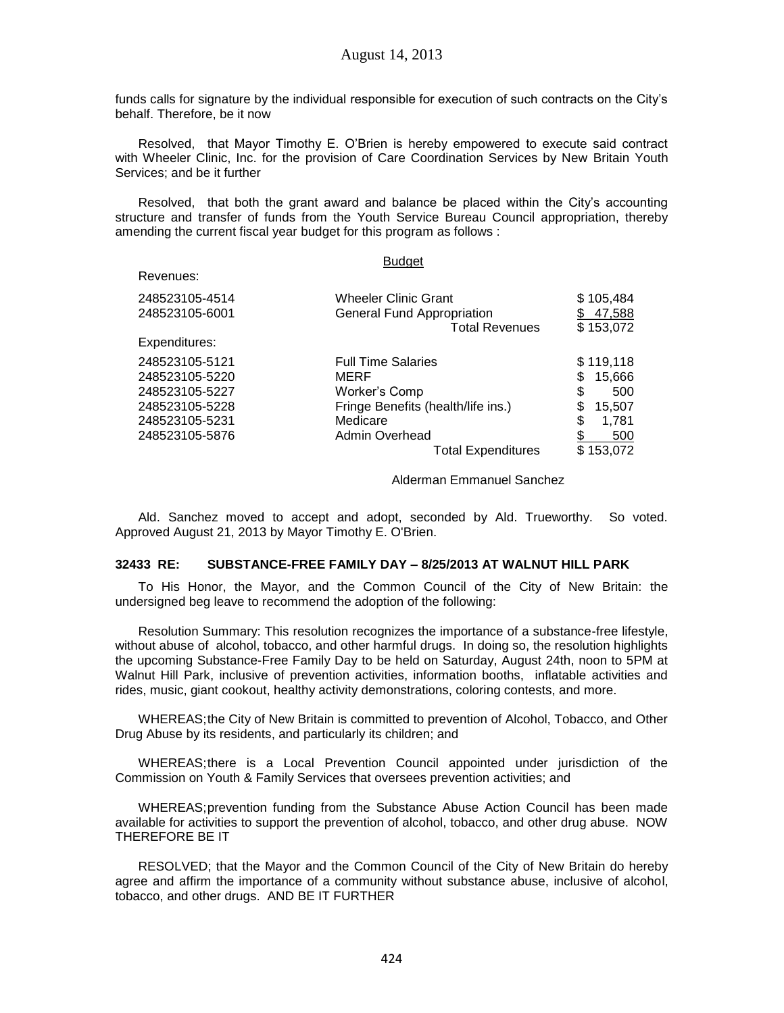funds calls for signature by the individual responsible for execution of such contracts on the City's behalf. Therefore, be it now

Resolved, that Mayor Timothy E. O'Brien is hereby empowered to execute said contract with Wheeler Clinic, Inc. for the provision of Care Coordination Services by New Britain Youth Services; and be it further

Resolved, that both the grant award and balance be placed within the City's accounting structure and transfer of funds from the Youth Service Bureau Council appropriation, thereby amending the current fiscal year budget for this program as follows :

Revenues:

#### Budget

| 248523105-4514 | <b>Wheeler Clinic Grant</b>        | \$105,484    |
|----------------|------------------------------------|--------------|
| 248523105-6001 | <b>General Fund Appropriation</b>  | 47,588<br>S  |
|                | <b>Total Revenues</b>              | \$153,072    |
| Expenditures:  |                                    |              |
| 248523105-5121 | <b>Full Time Salaries</b>          | \$119,118    |
| 248523105-5220 | MERF                               | 15,666<br>S  |
| 248523105-5227 | Worker's Comp                      | \$<br>500    |
| 248523105-5228 | Fringe Benefits (health/life ins.) | \$<br>15,507 |
| 248523105-5231 | Medicare                           | \$<br>1,781  |
| 248523105-5876 | Admin Overhead                     | 500          |
|                | <b>Total Expenditures</b>          | \$153,072    |

#### Alderman Emmanuel Sanchez

Ald. Sanchez moved to accept and adopt, seconded by Ald. Trueworthy. So voted. Approved August 21, 2013 by Mayor Timothy E. O'Brien.

### **32433 RE: SUBSTANCE-FREE FAMILY DAY – 8/25/2013 AT WALNUT HILL PARK**

To His Honor, the Mayor, and the Common Council of the City of New Britain: the undersigned beg leave to recommend the adoption of the following:

Resolution Summary: This resolution recognizes the importance of a substance-free lifestyle, without abuse of alcohol, tobacco, and other harmful drugs. In doing so, the resolution highlights the upcoming Substance-Free Family Day to be held on Saturday, August 24th, noon to 5PM at Walnut Hill Park, inclusive of prevention activities, information booths, inflatable activities and rides, music, giant cookout, healthy activity demonstrations, coloring contests, and more.

WHEREAS;the City of New Britain is committed to prevention of Alcohol, Tobacco, and Other Drug Abuse by its residents, and particularly its children; and

WHEREAS;there is a Local Prevention Council appointed under jurisdiction of the Commission on Youth & Family Services that oversees prevention activities; and

WHEREAS;prevention funding from the Substance Abuse Action Council has been made available for activities to support the prevention of alcohol, tobacco, and other drug abuse. NOW THEREFORE BE IT

RESOLVED; that the Mayor and the Common Council of the City of New Britain do hereby agree and affirm the importance of a community without substance abuse, inclusive of alcohol, tobacco, and other drugs. AND BE IT FURTHER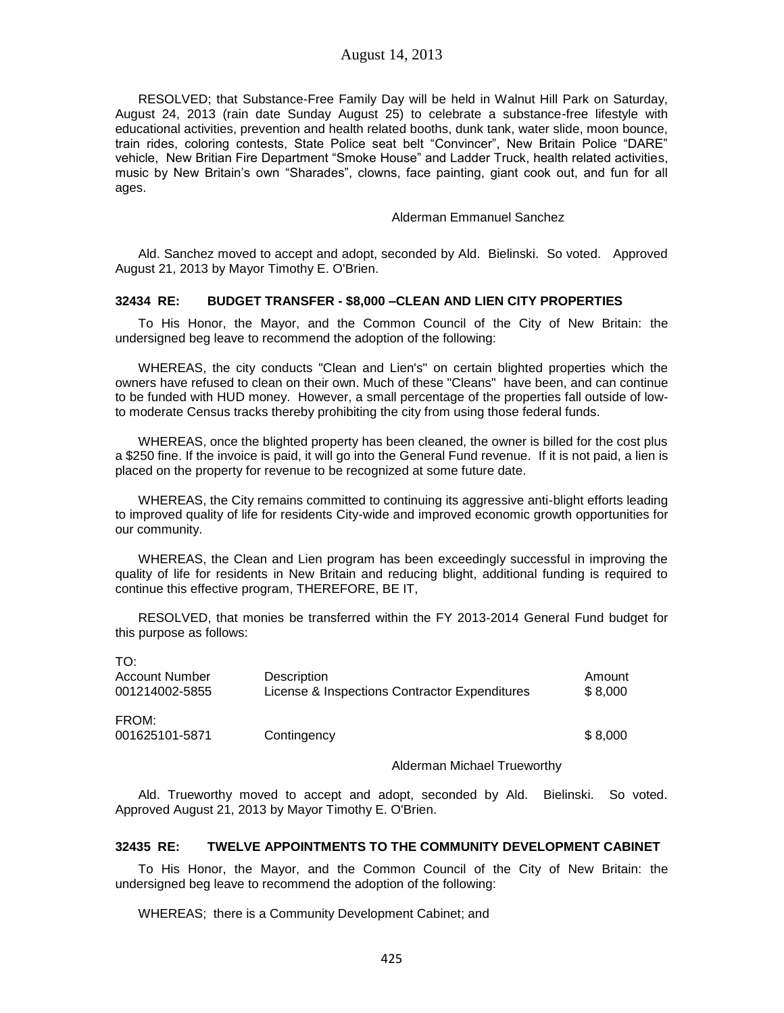### August 14, 2013

RESOLVED; that Substance-Free Family Day will be held in Walnut Hill Park on Saturday, August 24, 2013 (rain date Sunday August 25) to celebrate a substance-free lifestyle with educational activities, prevention and health related booths, dunk tank, water slide, moon bounce, train rides, coloring contests, State Police seat belt "Convincer", New Britain Police "DARE" vehicle, New Britian Fire Department "Smoke House" and Ladder Truck, health related activities, music by New Britain's own "Sharades", clowns, face painting, giant cook out, and fun for all ages.

#### Alderman Emmanuel Sanchez

Ald. Sanchez moved to accept and adopt, seconded by Ald. Bielinski. So voted. Approved August 21, 2013 by Mayor Timothy E. O'Brien.

### **32434 RE: BUDGET TRANSFER - \$8,000 –CLEAN AND LIEN CITY PROPERTIES**

To His Honor, the Mayor, and the Common Council of the City of New Britain: the undersigned beg leave to recommend the adoption of the following:

WHEREAS, the city conducts "Clean and Lien's" on certain blighted properties which the owners have refused to clean on their own. Much of these "Cleans" have been, and can continue to be funded with HUD money. However, a small percentage of the properties fall outside of lowto moderate Census tracks thereby prohibiting the city from using those federal funds.

WHEREAS, once the blighted property has been cleaned, the owner is billed for the cost plus a \$250 fine. If the invoice is paid, it will go into the General Fund revenue. If it is not paid, a lien is placed on the property for revenue to be recognized at some future date.

WHEREAS, the City remains committed to continuing its aggressive anti-blight efforts leading to improved quality of life for residents City-wide and improved economic growth opportunities for our community.

WHEREAS, the Clean and Lien program has been exceedingly successful in improving the quality of life for residents in New Britain and reducing blight, additional funding is required to continue this effective program, THEREFORE, BE IT,

RESOLVED, that monies be transferred within the FY 2013-2014 General Fund budget for this purpose as follows:

| TO:<br>Account Number<br>001214002-5855 | Description<br>License & Inspections Contractor Expenditures | Amount<br>\$8,000 |
|-----------------------------------------|--------------------------------------------------------------|-------------------|
| FROM:<br>001625101-5871                 | Contingency                                                  | \$8,000           |

### Alderman Michael Trueworthy

Ald. Trueworthy moved to accept and adopt, seconded by Ald. Bielinski. So voted. Approved August 21, 2013 by Mayor Timothy E. O'Brien.

### **32435 RE: TWELVE APPOINTMENTS TO THE COMMUNITY DEVELOPMENT CABINET**

To His Honor, the Mayor, and the Common Council of the City of New Britain: the undersigned beg leave to recommend the adoption of the following:

WHEREAS; there is a Community Development Cabinet; and

 $\overline{a}$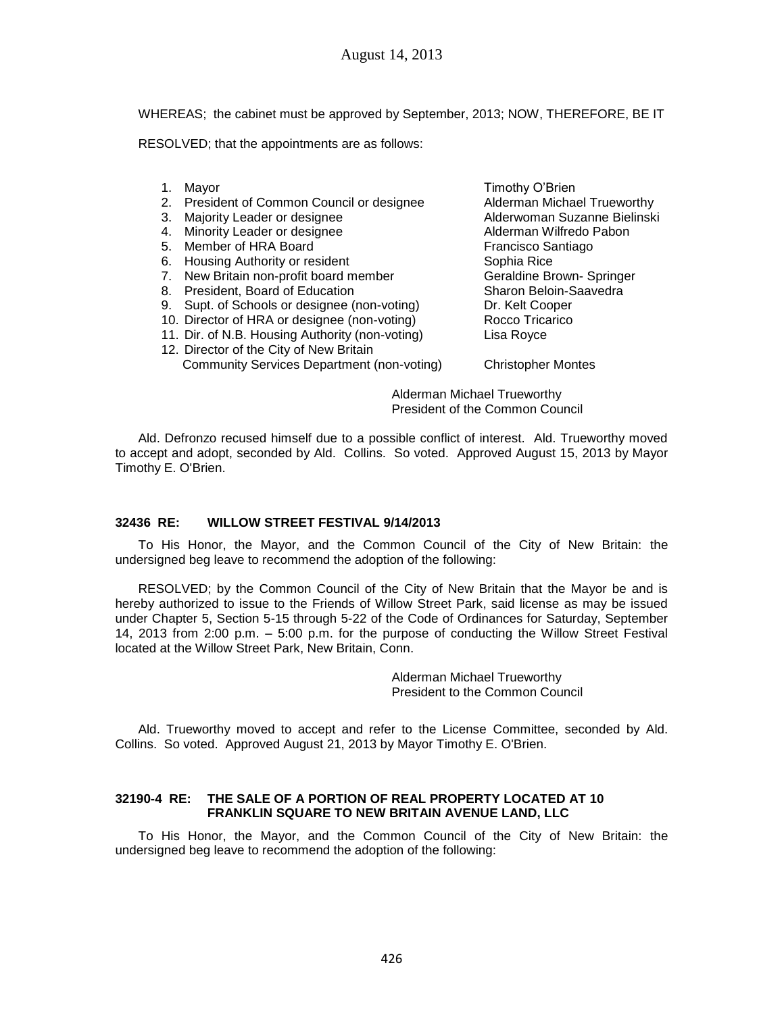WHEREAS; the cabinet must be approved by September, 2013; NOW, THEREFORE, BE IT

RESOLVED; that the appointments are as follows:

- 
- 2. President of Common Council or designee Alderman Michael Trueworthy
- 
- 4. Minority Leader or designee
- 5. Member of HRA Board Francisco Santiago
- 6. Housing Authority or resident Sophia Rice
- 7. New Britain non-profit board member Geraldine Brown- Springer
- 8. President, Board of Education Sharon Beloin-Saavedra
- 9. Supt. of Schools or designee (non-voting) Dr. Kelt Cooper
- 10. Director of HRA or designee (non-voting) Rocco Tricarico
- 11. Dir. of N.B. Housing Authority (non-voting) Lisa Royce
- 12. Director of the City of New Britain Community Services Department (non-voting) Christopher Montes

1. Mayor **Timothy O'Brien** 3. Majority Leader or designee and the Suzanne Bielinski Alderwoman Suzanne Bielinski<br>4. Minority Leader or designee and the Alderman Wilfredo Pabon

Alderman Michael Trueworthy President of the Common Council

Ald. Defronzo recused himself due to a possible conflict of interest. Ald. Trueworthy moved to accept and adopt, seconded by Ald. Collins. So voted. Approved August 15, 2013 by Mayor Timothy E. O'Brien.

## **32436 RE: WILLOW STREET FESTIVAL 9/14/2013**

To His Honor, the Mayor, and the Common Council of the City of New Britain: the undersigned beg leave to recommend the adoption of the following:

RESOLVED; by the Common Council of the City of New Britain that the Mayor be and is hereby authorized to issue to the Friends of Willow Street Park, said license as may be issued under Chapter 5, Section 5-15 through 5-22 of the Code of Ordinances for Saturday, September 14, 2013 from 2:00 p.m. – 5:00 p.m. for the purpose of conducting the Willow Street Festival located at the Willow Street Park, New Britain, Conn.

> Alderman Michael Trueworthy President to the Common Council

Ald. Trueworthy moved to accept and refer to the License Committee, seconded by Ald. Collins. So voted. Approved August 21, 2013 by Mayor Timothy E. O'Brien.

### **32190-4 RE: THE SALE OF A PORTION OF REAL PROPERTY LOCATED AT 10 FRANKLIN SQUARE TO NEW BRITAIN AVENUE LAND, LLC**

To His Honor, the Mayor, and the Common Council of the City of New Britain: the undersigned beg leave to recommend the adoption of the following: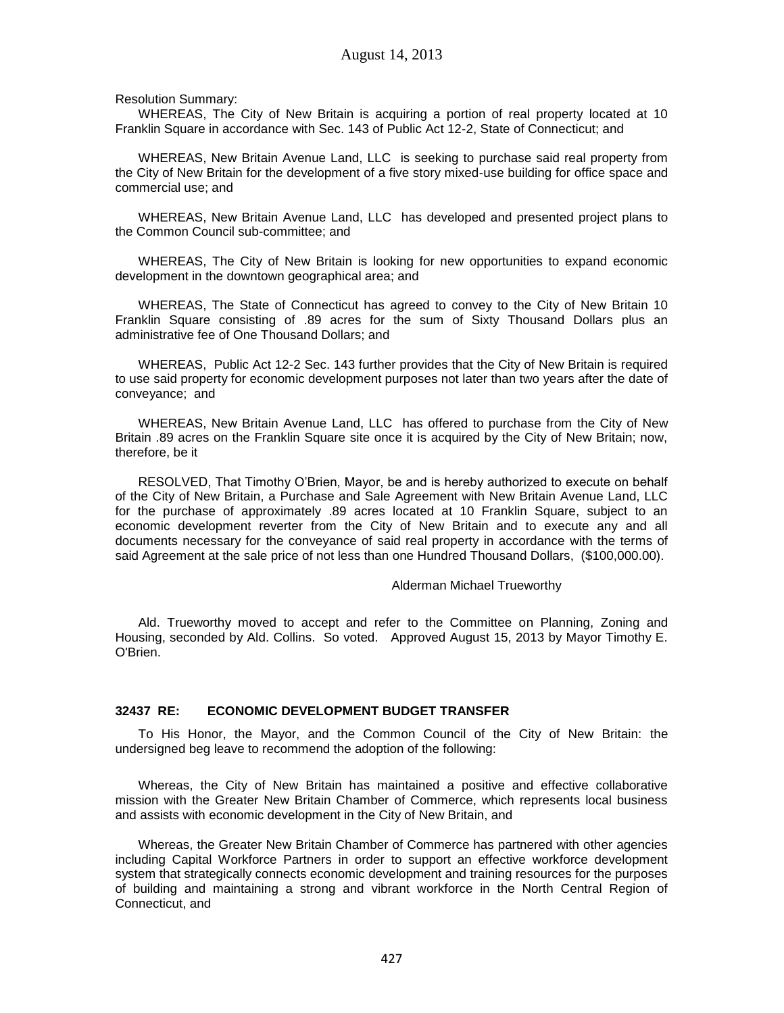Resolution Summary:

WHEREAS, The City of New Britain is acquiring a portion of real property located at 10 Franklin Square in accordance with Sec. 143 of Public Act 12-2, State of Connecticut; and

WHEREAS, New Britain Avenue Land, LLC is seeking to purchase said real property from the City of New Britain for the development of a five story mixed-use building for office space and commercial use; and

WHEREAS, New Britain Avenue Land, LLC has developed and presented project plans to the Common Council sub-committee; and

WHEREAS, The City of New Britain is looking for new opportunities to expand economic development in the downtown geographical area; and

WHEREAS, The State of Connecticut has agreed to convey to the City of New Britain 10 Franklin Square consisting of .89 acres for the sum of Sixty Thousand Dollars plus an administrative fee of One Thousand Dollars; and

WHEREAS, Public Act 12-2 Sec. 143 further provides that the City of New Britain is required to use said property for economic development purposes not later than two years after the date of conveyance; and

WHEREAS, New Britain Avenue Land, LLC has offered to purchase from the City of New Britain .89 acres on the Franklin Square site once it is acquired by the City of New Britain; now, therefore, be it

RESOLVED, That Timothy O'Brien, Mayor, be and is hereby authorized to execute on behalf of the City of New Britain, a Purchase and Sale Agreement with New Britain Avenue Land, LLC for the purchase of approximately .89 acres located at 10 Franklin Square, subject to an economic development reverter from the City of New Britain and to execute any and all documents necessary for the conveyance of said real property in accordance with the terms of said Agreement at the sale price of not less than one Hundred Thousand Dollars, (\$100,000.00).

#### Alderman Michael Trueworthy

Ald. Trueworthy moved to accept and refer to the Committee on Planning, Zoning and Housing, seconded by Ald. Collins. So voted. Approved August 15, 2013 by Mayor Timothy E. O'Brien.

### **32437 RE: ECONOMIC DEVELOPMENT BUDGET TRANSFER**

To His Honor, the Mayor, and the Common Council of the City of New Britain: the undersigned beg leave to recommend the adoption of the following:

Whereas, the City of New Britain has maintained a positive and effective collaborative mission with the Greater New Britain Chamber of Commerce, which represents local business and assists with economic development in the City of New Britain, and

Whereas, the Greater New Britain Chamber of Commerce has partnered with other agencies including Capital Workforce Partners in order to support an effective workforce development system that strategically connects economic development and training resources for the purposes of building and maintaining a strong and vibrant workforce in the North Central Region of Connecticut, and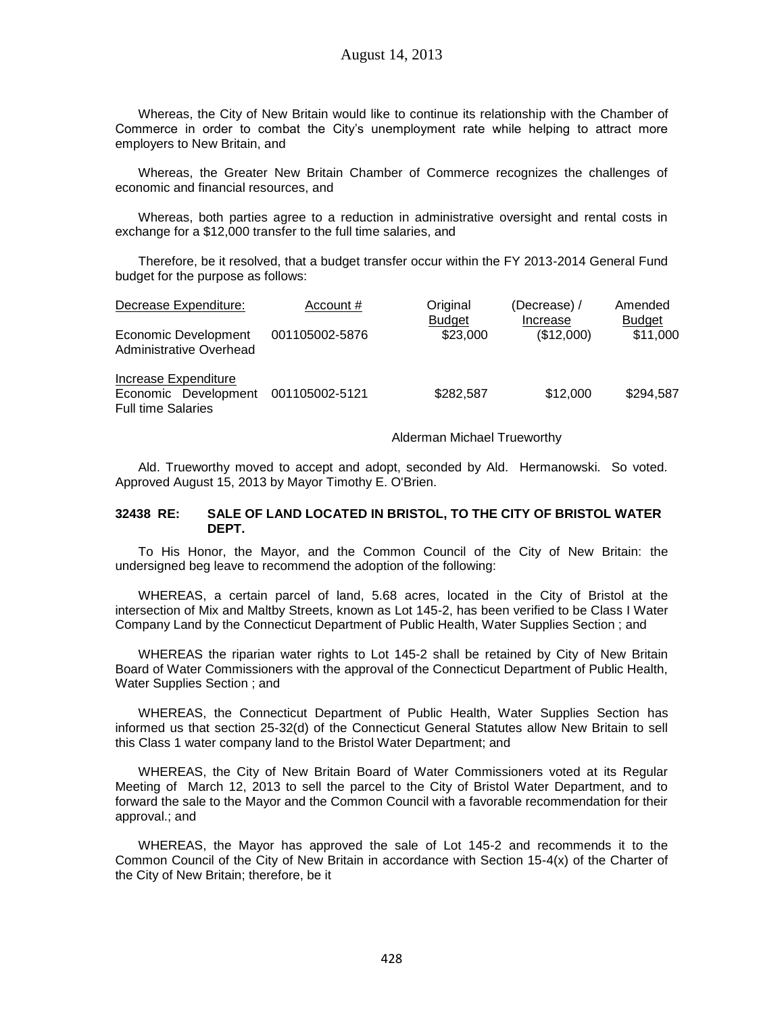Whereas, the City of New Britain would like to continue its relationship with the Chamber of Commerce in order to combat the City's unemployment rate while helping to attract more employers to New Britain, and

Whereas, the Greater New Britain Chamber of Commerce recognizes the challenges of economic and financial resources, and

Whereas, both parties agree to a reduction in administrative oversight and rental costs in exchange for a \$12,000 transfer to the full time salaries, and

Therefore, be it resolved, that a budget transfer occur within the FY 2013-2014 General Fund budget for the purpose as follows:

| Decrease Expenditure:                                                     | Account #      | Original                  | (Decrease) /           | Amended                   |
|---------------------------------------------------------------------------|----------------|---------------------------|------------------------|---------------------------|
| Economic Development<br>Administrative Overhead                           | 001105002-5876 | <b>Budget</b><br>\$23,000 | Increase<br>(\$12,000) | <b>Budget</b><br>\$11,000 |
| Increase Expenditure<br>Economic Development<br><b>Full time Salaries</b> | 001105002-5121 | \$282,587                 | \$12,000               | \$294,587                 |

Alderman Michael Trueworthy

Ald. Trueworthy moved to accept and adopt, seconded by Ald. Hermanowski. So voted. Approved August 15, 2013 by Mayor Timothy E. O'Brien.

### **32438 RE: SALE OF LAND LOCATED IN BRISTOL, TO THE CITY OF BRISTOL WATER DEPT.**

To His Honor, the Mayor, and the Common Council of the City of New Britain: the undersigned beg leave to recommend the adoption of the following:

WHEREAS, a certain parcel of land, 5.68 acres, located in the City of Bristol at the intersection of Mix and Maltby Streets, known as Lot 145-2, has been verified to be Class I Water Company Land by the Connecticut Department of Public Health, Water Supplies Section ; and

WHEREAS the riparian water rights to Lot 145-2 shall be retained by City of New Britain Board of Water Commissioners with the approval of the Connecticut Department of Public Health, Water Supplies Section ; and

WHEREAS, the Connecticut Department of Public Health, Water Supplies Section has informed us that section 25-32(d) of the Connecticut General Statutes allow New Britain to sell this Class 1 water company land to the Bristol Water Department; and

WHEREAS, the City of New Britain Board of Water Commissioners voted at its Regular Meeting of March 12, 2013 to sell the parcel to the City of Bristol Water Department, and to forward the sale to the Mayor and the Common Council with a favorable recommendation for their approval.; and

WHEREAS, the Mayor has approved the sale of Lot 145-2 and recommends it to the Common Council of the City of New Britain in accordance with Section 15-4(x) of the Charter of the City of New Britain; therefore, be it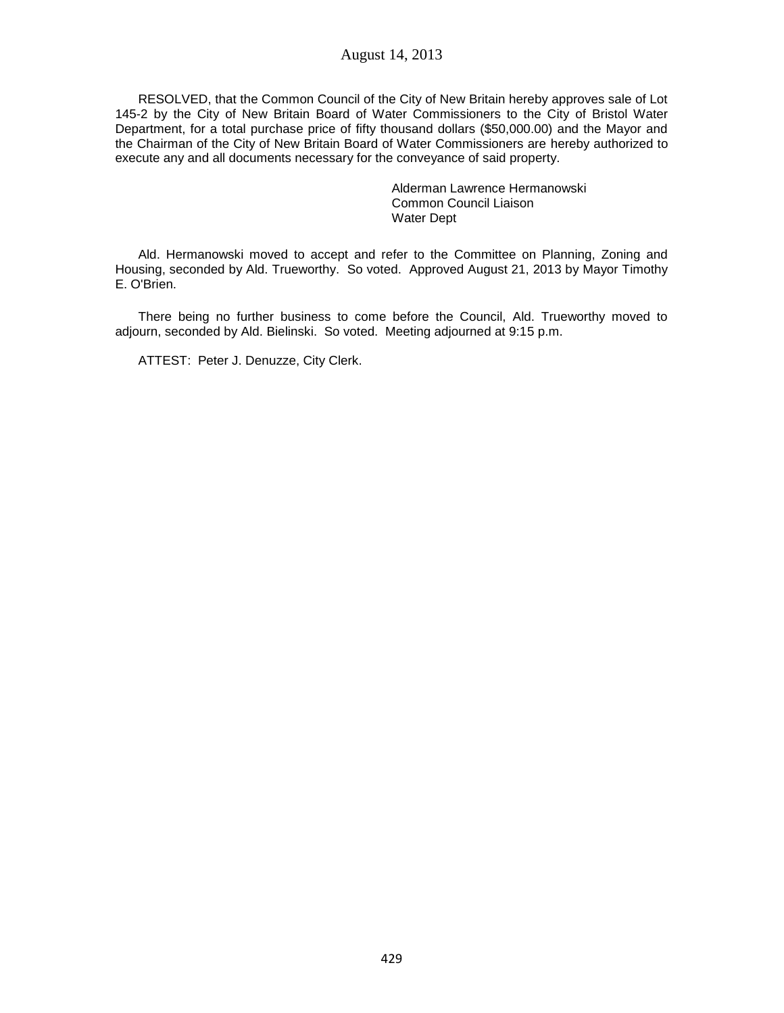RESOLVED, that the Common Council of the City of New Britain hereby approves sale of Lot 145-2 by the City of New Britain Board of Water Commissioners to the City of Bristol Water Department, for a total purchase price of fifty thousand dollars (\$50,000.00) and the Mayor and the Chairman of the City of New Britain Board of Water Commissioners are hereby authorized to execute any and all documents necessary for the conveyance of said property.

> Alderman Lawrence Hermanowski Common Council Liaison Water Dept

Ald. Hermanowski moved to accept and refer to the Committee on Planning, Zoning and Housing, seconded by Ald. Trueworthy. So voted. Approved August 21, 2013 by Mayor Timothy E. O'Brien.

There being no further business to come before the Council, Ald. Trueworthy moved to adjourn, seconded by Ald. Bielinski. So voted. Meeting adjourned at 9:15 p.m.

ATTEST: Peter J. Denuzze, City Clerk.